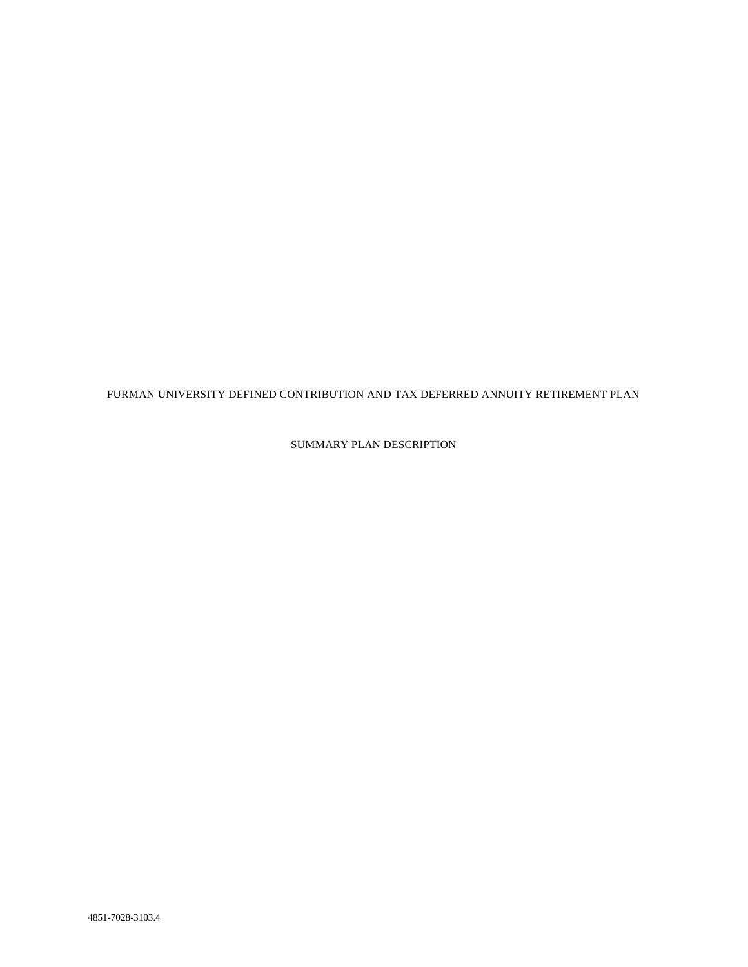FURMAN UNIVERSITY DEFINED CONTRIBUTION AND TAX DEFERRED ANNUITY RETIREMENT PLAN

SUMMARY PLAN DESCRIPTION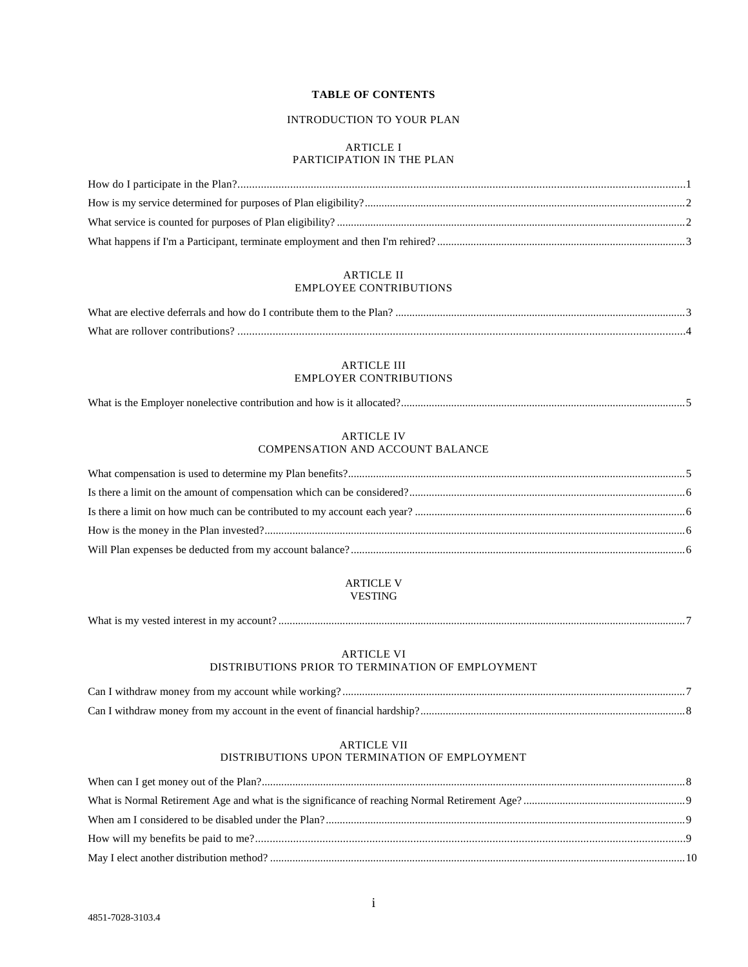# **TABLE OF CONTENTS**

# INTRODUCTION TO YOUR PLAN

# ARTICLE I PARTICIPATION IN THE PLAN

# ARTICLE II EMPLOYEE CONTRIBUTIONS

| What are elective deferrals and how do I contribute them to the Plan? |  |
|-----------------------------------------------------------------------|--|
| What are rollover contributions?                                      |  |

# ARTICLE III EMPLOYER CONTRIBUTIONS

|--|--|

#### ARTICLE IV COMPENSATION AND ACCOUNT BALANCE

# ARTICLE V VESTING

What is my vested interest in my account? ..................................................................................................................................................7

#### ARTICLE VI DISTRIBUTIONS PRIOR TO TERMINATION OF EMPLOYMENT

# ARTICLE VII

# DISTRIBUTIONS UPON TERMINATION OF EMPLOYMENT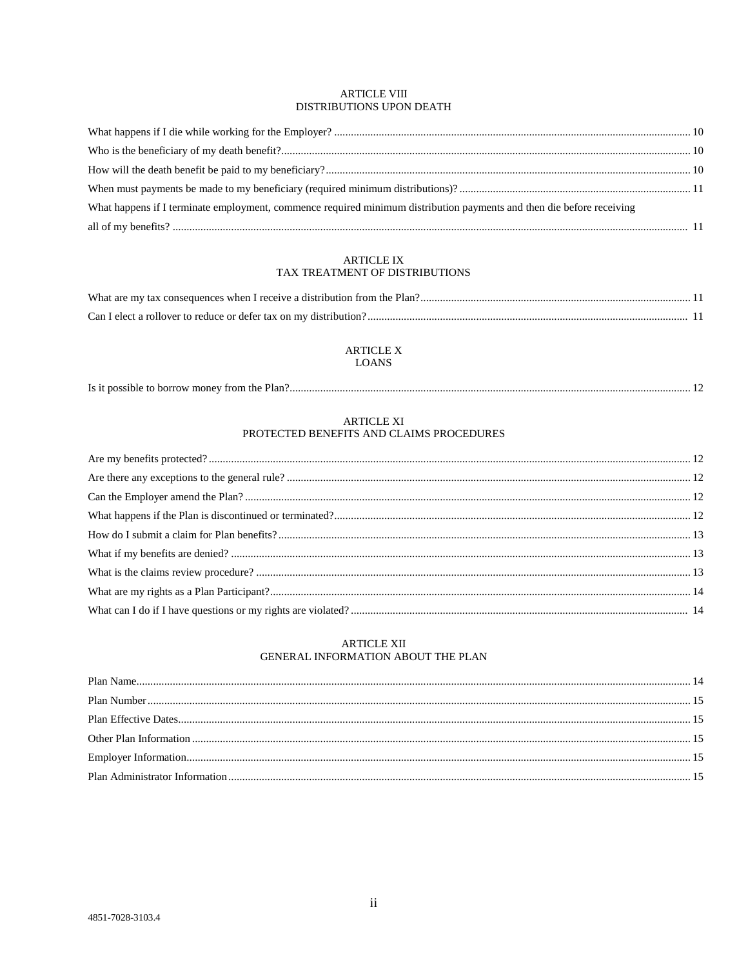# ARTICLE VIII DISTRIBUTIONS UPON DEATH

| What happens if I terminate employment, commence required minimum distribution payments and then die before receiving |  |
|-----------------------------------------------------------------------------------------------------------------------|--|
|                                                                                                                       |  |

# ARTICLE IX TAX TREATMENT OF DISTRIBUTIONS

# **ARTICLE X LOANS**

|  | Is it possible to borrow money from the Plan? |  |  |
|--|-----------------------------------------------|--|--|
|--|-----------------------------------------------|--|--|

# **ARTICLE XI**

# PROTECTED BENEFITS AND CLAIMS PROCEDURES

# **ARTICLE XII** GENERAL INFORMATION ABOUT THE PLAN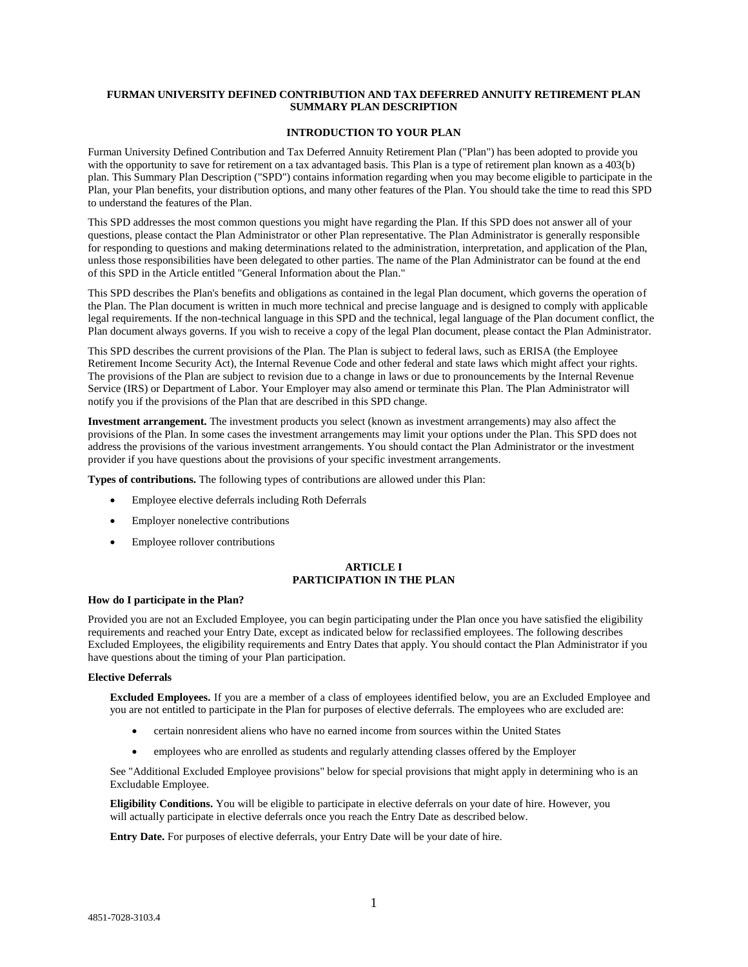# **FURMAN UNIVERSITY DEFINED CONTRIBUTION AND TAX DEFERRED ANNUITY RETIREMENT PLAN SUMMARY PLAN DESCRIPTION**

#### **INTRODUCTION TO YOUR PLAN**

Furman University Defined Contribution and Tax Deferred Annuity Retirement Plan ("Plan") has been adopted to provide you with the opportunity to save for retirement on a tax advantaged basis. This Plan is a type of retirement plan known as a 403(b) plan. This Summary Plan Description ("SPD") contains information regarding when you may become eligible to participate in the Plan, your Plan benefits, your distribution options, and many other features of the Plan. You should take the time to read this SPD to understand the features of the Plan.

This SPD addresses the most common questions you might have regarding the Plan. If this SPD does not answer all of your questions, please contact the Plan Administrator or other Plan representative. The Plan Administrator is generally responsible for responding to questions and making determinations related to the administration, interpretation, and application of the Plan, unless those responsibilities have been delegated to other parties. The name of the Plan Administrator can be found at the end of this SPD in the Article entitled "General Information about the Plan."

This SPD describes the Plan's benefits and obligations as contained in the legal Plan document, which governs the operation of the Plan. The Plan document is written in much more technical and precise language and is designed to comply with applicable legal requirements. If the non-technical language in this SPD and the technical, legal language of the Plan document conflict, the Plan document always governs. If you wish to receive a copy of the legal Plan document, please contact the Plan Administrator.

This SPD describes the current provisions of the Plan. The Plan is subject to federal laws, such as ERISA (the Employee Retirement Income Security Act), the Internal Revenue Code and other federal and state laws which might affect your rights. The provisions of the Plan are subject to revision due to a change in laws or due to pronouncements by the Internal Revenue Service (IRS) or Department of Labor. Your Employer may also amend or terminate this Plan. The Plan Administrator will notify you if the provisions of the Plan that are described in this SPD change.

**Investment arrangement.** The investment products you select (known as investment arrangements) may also affect the provisions of the Plan. In some cases the investment arrangements may limit your options under the Plan. This SPD does not address the provisions of the various investment arrangements. You should contact the Plan Administrator or the investment provider if you have questions about the provisions of your specific investment arrangements.

**Types of contributions.** The following types of contributions are allowed under this Plan:

- Employee elective deferrals including Roth Deferrals
- Employer nonelective contributions
- Employee rollover contributions

# **ARTICLE I PARTICIPATION IN THE PLAN**

#### **How do I participate in the Plan?**

Provided you are not an Excluded Employee, you can begin participating under the Plan once you have satisfied the eligibility requirements and reached your Entry Date, except as indicated below for reclassified employees. The following describes Excluded Employees, the eligibility requirements and Entry Dates that apply. You should contact the Plan Administrator if you have questions about the timing of your Plan participation.

#### **Elective Deferrals**

**Excluded Employees.** If you are a member of a class of employees identified below, you are an Excluded Employee and you are not entitled to participate in the Plan for purposes of elective deferrals. The employees who are excluded are:

- certain nonresident aliens who have no earned income from sources within the United States
- employees who are enrolled as students and regularly attending classes offered by the Employer

See "Additional Excluded Employee provisions" below for special provisions that might apply in determining who is an Excludable Employee.

**Eligibility Conditions.** You will be eligible to participate in elective deferrals on your date of hire. However, you will actually participate in elective deferrals once you reach the Entry Date as described below.

**Entry Date.** For purposes of elective deferrals, your Entry Date will be your date of hire.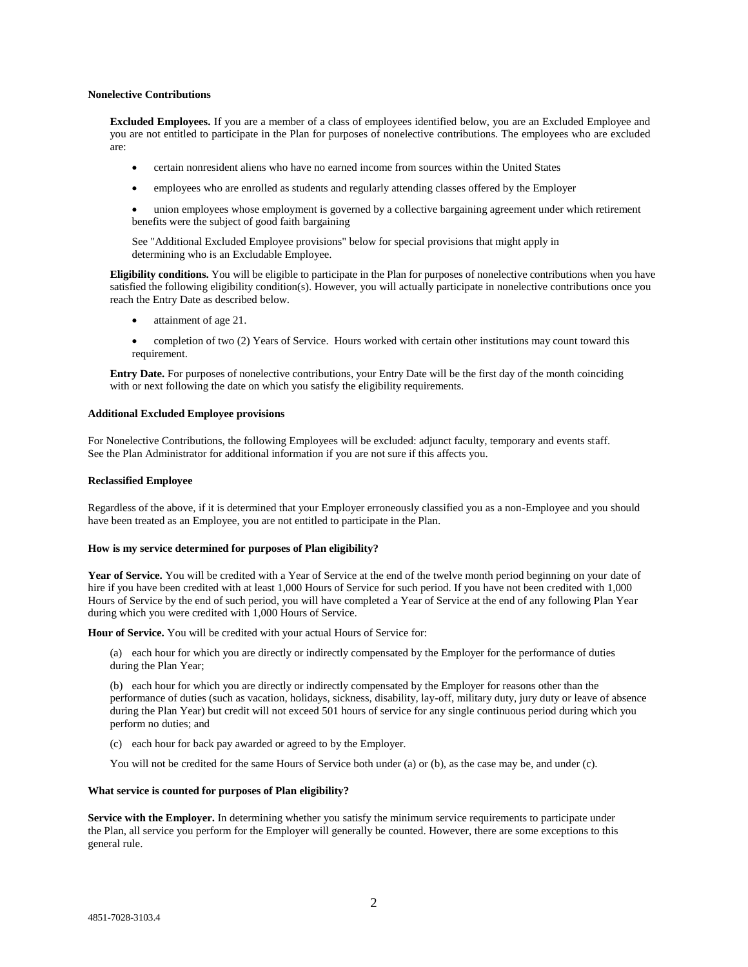#### **Nonelective Contributions**

**Excluded Employees.** If you are a member of a class of employees identified below, you are an Excluded Employee and you are not entitled to participate in the Plan for purposes of nonelective contributions. The employees who are excluded are:

- certain nonresident aliens who have no earned income from sources within the United States
- employees who are enrolled as students and regularly attending classes offered by the Employer
- union employees whose employment is governed by a collective bargaining agreement under which retirement benefits were the subject of good faith bargaining

See "Additional Excluded Employee provisions" below for special provisions that might apply in determining who is an Excludable Employee.

**Eligibility conditions.** You will be eligible to participate in the Plan for purposes of nonelective contributions when you have satisfied the following eligibility condition(s). However, you will actually participate in nonelective contributions once you reach the Entry Date as described below.

- attainment of age 21.
- completion of two (2) Years of Service. Hours worked with certain other institutions may count toward this requirement.

**Entry Date.** For purposes of nonelective contributions, your Entry Date will be the first day of the month coinciding with or next following the date on which you satisfy the eligibility requirements.

#### **Additional Excluded Employee provisions**

For Nonelective Contributions, the following Employees will be excluded: adjunct faculty, temporary and events staff. See the Plan Administrator for additional information if you are not sure if this affects you.

#### **Reclassified Employee**

Regardless of the above, if it is determined that your Employer erroneously classified you as a non-Employee and you should have been treated as an Employee, you are not entitled to participate in the Plan.

#### **How is my service determined for purposes of Plan eligibility?**

**Year of Service.** You will be credited with a Year of Service at the end of the twelve month period beginning on your date of hire if you have been credited with at least 1,000 Hours of Service for such period. If you have not been credited with 1,000 Hours of Service by the end of such period, you will have completed a Year of Service at the end of any following Plan Year during which you were credited with 1,000 Hours of Service.

**Hour of Service.** You will be credited with your actual Hours of Service for:

(a) each hour for which you are directly or indirectly compensated by the Employer for the performance of duties during the Plan Year;

(b) each hour for which you are directly or indirectly compensated by the Employer for reasons other than the performance of duties (such as vacation, holidays, sickness, disability, lay-off, military duty, jury duty or leave of absence during the Plan Year) but credit will not exceed 501 hours of service for any single continuous period during which you perform no duties; and

(c) each hour for back pay awarded or agreed to by the Employer.

You will not be credited for the same Hours of Service both under (a) or (b), as the case may be, and under (c).

# **What service is counted for purposes of Plan eligibility?**

**Service with the Employer.** In determining whether you satisfy the minimum service requirements to participate under the Plan, all service you perform for the Employer will generally be counted. However, there are some exceptions to this general rule.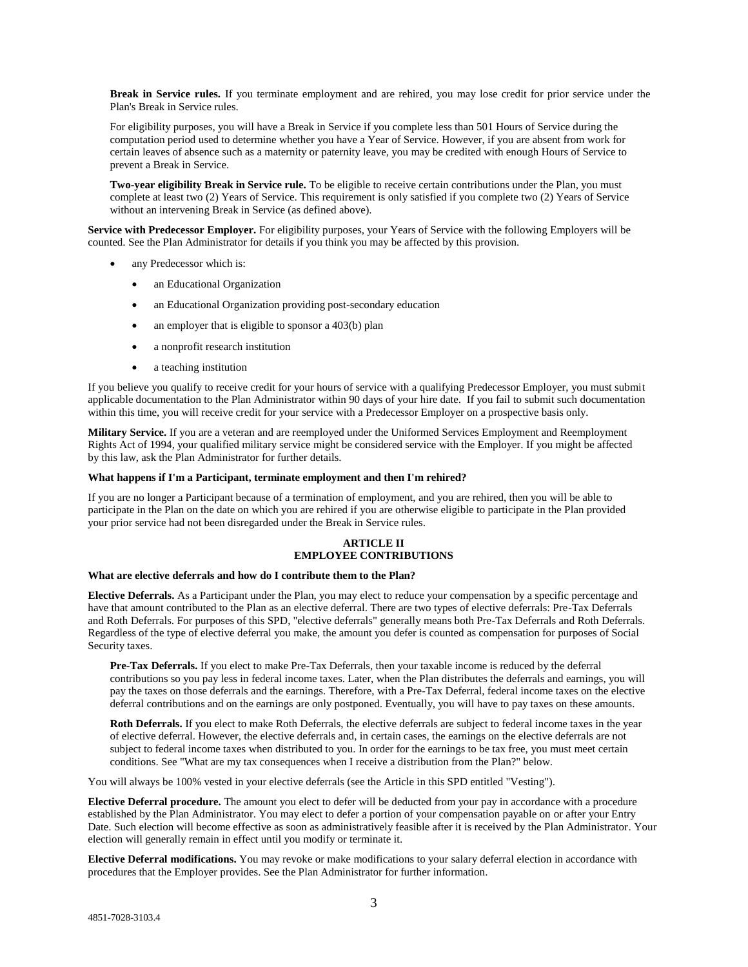**Break in Service rules.** If you terminate employment and are rehired, you may lose credit for prior service under the Plan's Break in Service rules.

For eligibility purposes, you will have a Break in Service if you complete less than 501 Hours of Service during the computation period used to determine whether you have a Year of Service. However, if you are absent from work for certain leaves of absence such as a maternity or paternity leave, you may be credited with enough Hours of Service to prevent a Break in Service.

**Two-year eligibility Break in Service rule.** To be eligible to receive certain contributions under the Plan, you must complete at least two (2) Years of Service. This requirement is only satisfied if you complete two (2) Years of Service without an intervening Break in Service (as defined above).

**Service with Predecessor Employer.** For eligibility purposes, your Years of Service with the following Employers will be counted. See the Plan Administrator for details if you think you may be affected by this provision.

- any Predecessor which is:
	- an Educational Organization
	- an Educational Organization providing post-secondary education
	- an employer that is eligible to sponsor a 403(b) plan
	- a nonprofit research institution
	- a teaching institution

If you believe you qualify to receive credit for your hours of service with a qualifying Predecessor Employer, you must submit applicable documentation to the Plan Administrator within 90 days of your hire date. If you fail to submit such documentation within this time, you will receive credit for your service with a Predecessor Employer on a prospective basis only.

**Military Service.** If you are a veteran and are reemployed under the Uniformed Services Employment and Reemployment Rights Act of 1994, your qualified military service might be considered service with the Employer. If you might be affected by this law, ask the Plan Administrator for further details.

# **What happens if I'm a Participant, terminate employment and then I'm rehired?**

If you are no longer a Participant because of a termination of employment, and you are rehired, then you will be able to participate in the Plan on the date on which you are rehired if you are otherwise eligible to participate in the Plan provided your prior service had not been disregarded under the Break in Service rules.

# **ARTICLE II EMPLOYEE CONTRIBUTIONS**

## **What are elective deferrals and how do I contribute them to the Plan?**

**Elective Deferrals.** As a Participant under the Plan, you may elect to reduce your compensation by a specific percentage and have that amount contributed to the Plan as an elective deferral. There are two types of elective deferrals: Pre-Tax Deferrals and Roth Deferrals. For purposes of this SPD, "elective deferrals" generally means both Pre-Tax Deferrals and Roth Deferrals. Regardless of the type of elective deferral you make, the amount you defer is counted as compensation for purposes of Social Security taxes.

**Pre-Tax Deferrals.** If you elect to make Pre-Tax Deferrals, then your taxable income is reduced by the deferral contributions so you pay less in federal income taxes. Later, when the Plan distributes the deferrals and earnings, you will pay the taxes on those deferrals and the earnings. Therefore, with a Pre-Tax Deferral, federal income taxes on the elective deferral contributions and on the earnings are only postponed. Eventually, you will have to pay taxes on these amounts.

**Roth Deferrals.** If you elect to make Roth Deferrals, the elective deferrals are subject to federal income taxes in the year of elective deferral. However, the elective deferrals and, in certain cases, the earnings on the elective deferrals are not subject to federal income taxes when distributed to you. In order for the earnings to be tax free, you must meet certain conditions. See "What are my tax consequences when I receive a distribution from the Plan?" below.

You will always be 100% vested in your elective deferrals (see the Article in this SPD entitled "Vesting").

**Elective Deferral procedure.** The amount you elect to defer will be deducted from your pay in accordance with a procedure established by the Plan Administrator. You may elect to defer a portion of your compensation payable on or after your Entry Date. Such election will become effective as soon as administratively feasible after it is received by the Plan Administrator. Your election will generally remain in effect until you modify or terminate it.

**Elective Deferral modifications.** You may revoke or make modifications to your salary deferral election in accordance with procedures that the Employer provides. See the Plan Administrator for further information.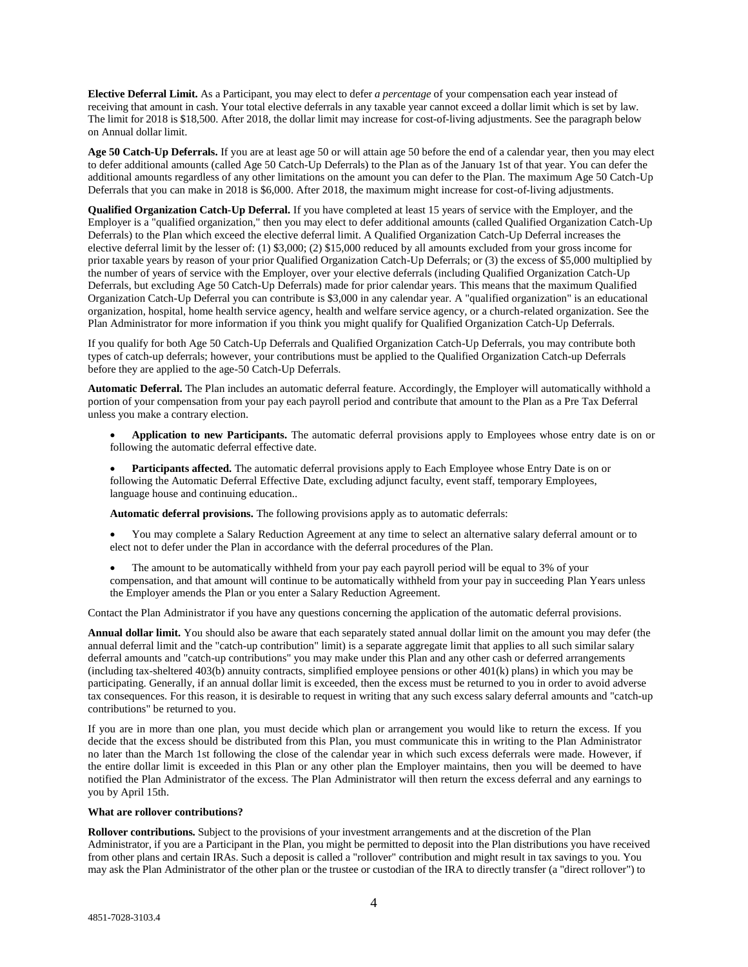**Elective Deferral Limit.** As a Participant, you may elect to defer *a percentage* of your compensation each year instead of receiving that amount in cash. Your total elective deferrals in any taxable year cannot exceed a dollar limit which is set by law. The limit for 2018 is \$18,500. After 2018, the dollar limit may increase for cost-of-living adjustments. See the paragraph below on Annual dollar limit.

**Age 50 Catch-Up Deferrals.** If you are at least age 50 or will attain age 50 before the end of a calendar year, then you may elect to defer additional amounts (called Age 50 Catch-Up Deferrals) to the Plan as of the January 1st of that year. You can defer the additional amounts regardless of any other limitations on the amount you can defer to the Plan. The maximum Age 50 Catch-Up Deferrals that you can make in 2018 is \$6,000. After 2018, the maximum might increase for cost-of-living adjustments.

**Qualified Organization Catch-Up Deferral.** If you have completed at least 15 years of service with the Employer, and the Employer is a "qualified organization," then you may elect to defer additional amounts (called Qualified Organization Catch-Up Deferrals) to the Plan which exceed the elective deferral limit. A Qualified Organization Catch-Up Deferral increases the elective deferral limit by the lesser of: (1) \$3,000; (2) \$15,000 reduced by all amounts excluded from your gross income for prior taxable years by reason of your prior Qualified Organization Catch-Up Deferrals; or (3) the excess of \$5,000 multiplied by the number of years of service with the Employer, over your elective deferrals (including Qualified Organization Catch-Up Deferrals, but excluding Age 50 Catch-Up Deferrals) made for prior calendar years. This means that the maximum Qualified Organization Catch-Up Deferral you can contribute is \$3,000 in any calendar year. A "qualified organization" is an educational organization, hospital, home health service agency, health and welfare service agency, or a church-related organization. See the Plan Administrator for more information if you think you might qualify for Qualified Organization Catch-Up Deferrals.

If you qualify for both Age 50 Catch-Up Deferrals and Qualified Organization Catch-Up Deferrals, you may contribute both types of catch-up deferrals; however, your contributions must be applied to the Qualified Organization Catch-up Deferrals before they are applied to the age-50 Catch-Up Deferrals.

**Automatic Deferral.** The Plan includes an automatic deferral feature. Accordingly, the Employer will automatically withhold a portion of your compensation from your pay each payroll period and contribute that amount to the Plan as a Pre Tax Deferral unless you make a contrary election.

 **Application to new Participants.** The automatic deferral provisions apply to Employees whose entry date is on or following the automatic deferral effective date.

 **Participants affected.** The automatic deferral provisions apply to Each Employee whose Entry Date is on or following the Automatic Deferral Effective Date, excluding adjunct faculty, event staff, temporary Employees, language house and continuing education..

**Automatic deferral provisions.** The following provisions apply as to automatic deferrals:

- You may complete a Salary Reduction Agreement at any time to select an alternative salary deferral amount or to elect not to defer under the Plan in accordance with the deferral procedures of the Plan.
- The amount to be automatically withheld from your pay each payroll period will be equal to 3% of your compensation, and that amount will continue to be automatically withheld from your pay in succeeding Plan Years unless the Employer amends the Plan or you enter a Salary Reduction Agreement.

Contact the Plan Administrator if you have any questions concerning the application of the automatic deferral provisions.

**Annual dollar limit.** You should also be aware that each separately stated annual dollar limit on the amount you may defer (the annual deferral limit and the "catch-up contribution" limit) is a separate aggregate limit that applies to all such similar salary deferral amounts and "catch-up contributions" you may make under this Plan and any other cash or deferred arrangements (including tax-sheltered 403(b) annuity contracts, simplified employee pensions or other 401(k) plans) in which you may be participating. Generally, if an annual dollar limit is exceeded, then the excess must be returned to you in order to avoid adverse tax consequences. For this reason, it is desirable to request in writing that any such excess salary deferral amounts and "catch-up contributions" be returned to you.

If you are in more than one plan, you must decide which plan or arrangement you would like to return the excess. If you decide that the excess should be distributed from this Plan, you must communicate this in writing to the Plan Administrator no later than the March 1st following the close of the calendar year in which such excess deferrals were made. However, if the entire dollar limit is exceeded in this Plan or any other plan the Employer maintains, then you will be deemed to have notified the Plan Administrator of the excess. The Plan Administrator will then return the excess deferral and any earnings to you by April 15th.

#### **What are rollover contributions?**

**Rollover contributions.** Subject to the provisions of your investment arrangements and at the discretion of the Plan Administrator, if you are a Participant in the Plan, you might be permitted to deposit into the Plan distributions you have received from other plans and certain IRAs. Such a deposit is called a "rollover" contribution and might result in tax savings to you. You may ask the Plan Administrator of the other plan or the trustee or custodian of the IRA to directly transfer (a "direct rollover") to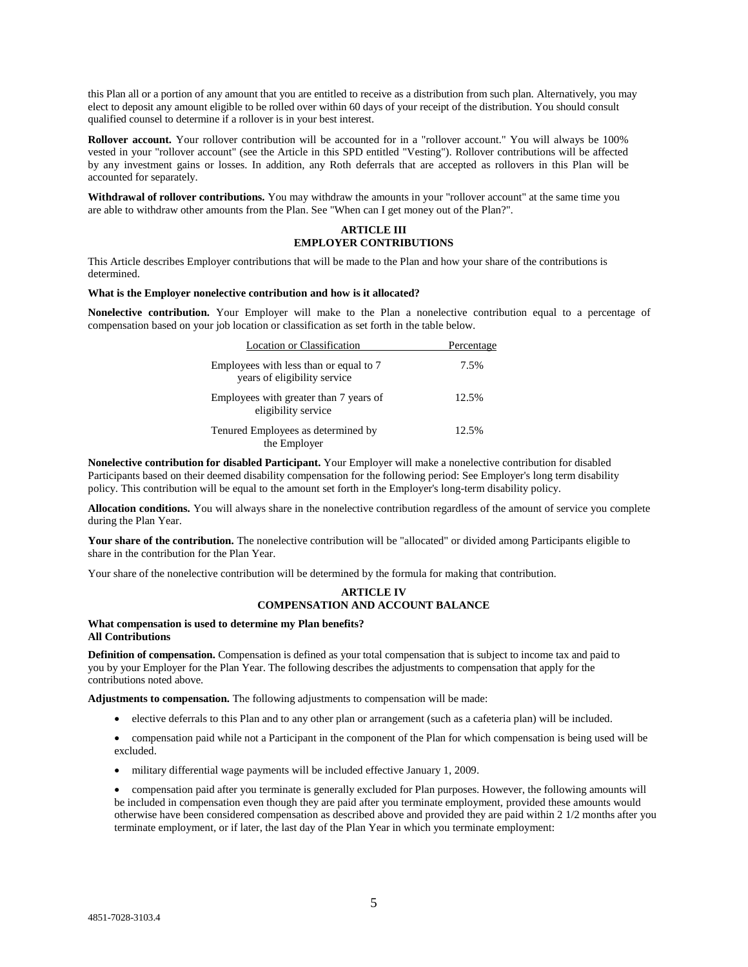this Plan all or a portion of any amount that you are entitled to receive as a distribution from such plan. Alternatively, you may elect to deposit any amount eligible to be rolled over within 60 days of your receipt of the distribution. You should consult qualified counsel to determine if a rollover is in your best interest.

**Rollover account.** Your rollover contribution will be accounted for in a "rollover account." You will always be 100% vested in your "rollover account" (see the Article in this SPD entitled "Vesting"). Rollover contributions will be affected by any investment gains or losses. In addition, any Roth deferrals that are accepted as rollovers in this Plan will be accounted for separately.

**Withdrawal of rollover contributions.** You may withdraw the amounts in your "rollover account" at the same time you are able to withdraw other amounts from the Plan. See "When can I get money out of the Plan?".

# **ARTICLE III EMPLOYER CONTRIBUTIONS**

This Article describes Employer contributions that will be made to the Plan and how your share of the contributions is determined.

#### **What is the Employer nonelective contribution and how is it allocated?**

**Nonelective contribution.** Your Employer will make to the Plan a nonelective contribution equal to a percentage of compensation based on your job location or classification as set forth in the table below.

| Location or Classification                                             | Percentage |
|------------------------------------------------------------------------|------------|
| Employees with less than or equal to 7<br>years of eligibility service | 7.5%       |
| Employees with greater than 7 years of<br>eligibility service          | 12.5%      |
| Tenured Employees as determined by<br>the Employer                     | 12.5%      |

the Employer

**Nonelective contribution for disabled Participant.** Your Employer will make a nonelective contribution for disabled Participants based on their deemed disability compensation for the following period: See Employer's long term disability policy. This contribution will be equal to the amount set forth in the Employer's long-term disability policy.

**Allocation conditions.** You will always share in the nonelective contribution regardless of the amount of service you complete during the Plan Year.

**Your share of the contribution.** The nonelective contribution will be "allocated" or divided among Participants eligible to share in the contribution for the Plan Year.

Your share of the nonelective contribution will be determined by the formula for making that contribution.

#### **ARTICLE IV COMPENSATION AND ACCOUNT BALANCE**

#### **What compensation is used to determine my Plan benefits? All Contributions**

**Definition of compensation.** Compensation is defined as your total compensation that is subject to income tax and paid to you by your Employer for the Plan Year. The following describes the adjustments to compensation that apply for the contributions noted above.

**Adjustments to compensation.** The following adjustments to compensation will be made:

elective deferrals to this Plan and to any other plan or arrangement (such as a cafeteria plan) will be included.

 compensation paid while not a Participant in the component of the Plan for which compensation is being used will be excluded.

military differential wage payments will be included effective January 1, 2009.

 compensation paid after you terminate is generally excluded for Plan purposes. However, the following amounts will be included in compensation even though they are paid after you terminate employment, provided these amounts would otherwise have been considered compensation as described above and provided they are paid within 2 1/2 months after you terminate employment, or if later, the last day of the Plan Year in which you terminate employment: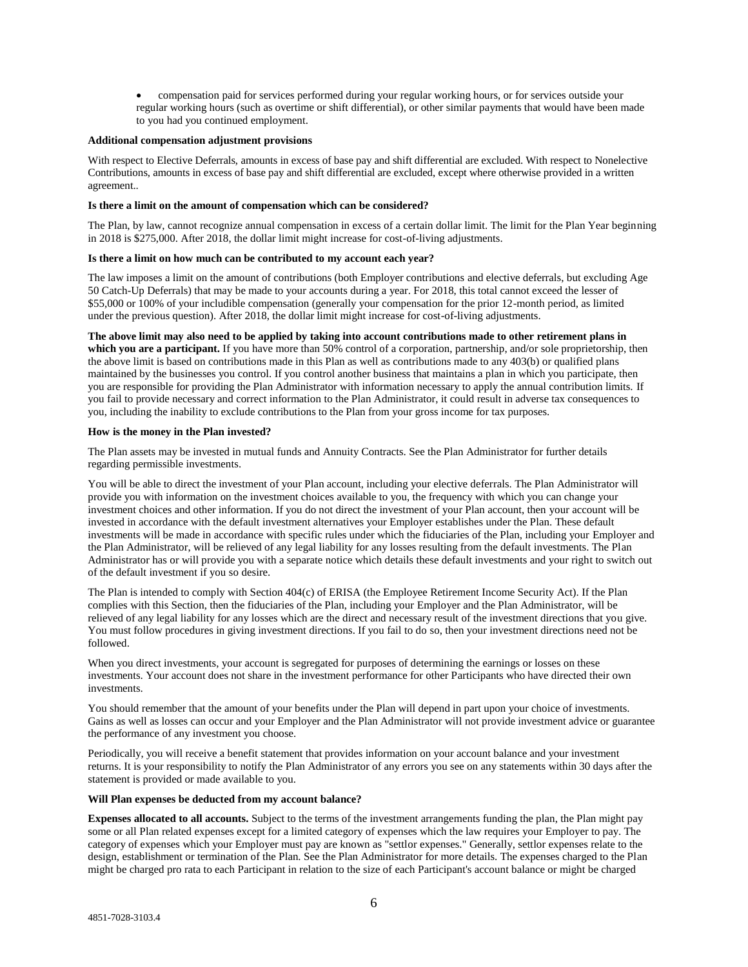compensation paid for services performed during your regular working hours, or for services outside your regular working hours (such as overtime or shift differential), or other similar payments that would have been made to you had you continued employment.

#### **Additional compensation adjustment provisions**

With respect to Elective Deferrals, amounts in excess of base pay and shift differential are excluded. With respect to Nonelective Contributions, amounts in excess of base pay and shift differential are excluded, except where otherwise provided in a written agreement..

#### **Is there a limit on the amount of compensation which can be considered?**

The Plan, by law, cannot recognize annual compensation in excess of a certain dollar limit. The limit for the Plan Year beginning in 2018 is \$275,000. After 2018, the dollar limit might increase for cost-of-living adjustments.

#### **Is there a limit on how much can be contributed to my account each year?**

The law imposes a limit on the amount of contributions (both Employer contributions and elective deferrals, but excluding Age 50 Catch-Up Deferrals) that may be made to your accounts during a year. For 2018, this total cannot exceed the lesser of \$55,000 or 100% of your includible compensation (generally your compensation for the prior 12-month period, as limited under the previous question). After 2018, the dollar limit might increase for cost-of-living adjustments.

**The above limit may also need to be applied by taking into account contributions made to other retirement plans in which you are a participant.** If you have more than 50% control of a corporation, partnership, and/or sole proprietorship, then the above limit is based on contributions made in this Plan as well as contributions made to any 403(b) or qualified plans maintained by the businesses you control. If you control another business that maintains a plan in which you participate, then you are responsible for providing the Plan Administrator with information necessary to apply the annual contribution limits. If you fail to provide necessary and correct information to the Plan Administrator, it could result in adverse tax consequences to you, including the inability to exclude contributions to the Plan from your gross income for tax purposes.

#### **How is the money in the Plan invested?**

The Plan assets may be invested in mutual funds and Annuity Contracts. See the Plan Administrator for further details regarding permissible investments.

You will be able to direct the investment of your Plan account, including your elective deferrals. The Plan Administrator will provide you with information on the investment choices available to you, the frequency with which you can change your investment choices and other information. If you do not direct the investment of your Plan account, then your account will be invested in accordance with the default investment alternatives your Employer establishes under the Plan. These default investments will be made in accordance with specific rules under which the fiduciaries of the Plan, including your Employer and the Plan Administrator, will be relieved of any legal liability for any losses resulting from the default investments. The Plan Administrator has or will provide you with a separate notice which details these default investments and your right to switch out of the default investment if you so desire.

The Plan is intended to comply with Section 404(c) of ERISA (the Employee Retirement Income Security Act). If the Plan complies with this Section, then the fiduciaries of the Plan, including your Employer and the Plan Administrator, will be relieved of any legal liability for any losses which are the direct and necessary result of the investment directions that you give. You must follow procedures in giving investment directions. If you fail to do so, then your investment directions need not be followed.

When you direct investments, your account is segregated for purposes of determining the earnings or losses on these investments. Your account does not share in the investment performance for other Participants who have directed their own investments.

You should remember that the amount of your benefits under the Plan will depend in part upon your choice of investments. Gains as well as losses can occur and your Employer and the Plan Administrator will not provide investment advice or guarantee the performance of any investment you choose.

Periodically, you will receive a benefit statement that provides information on your account balance and your investment returns. It is your responsibility to notify the Plan Administrator of any errors you see on any statements within 30 days after the statement is provided or made available to you.

## **Will Plan expenses be deducted from my account balance?**

**Expenses allocated to all accounts.** Subject to the terms of the investment arrangements funding the plan, the Plan might pay some or all Plan related expenses except for a limited category of expenses which the law requires your Employer to pay. The category of expenses which your Employer must pay are known as "settlor expenses." Generally, settlor expenses relate to the design, establishment or termination of the Plan. See the Plan Administrator for more details. The expenses charged to the Plan might be charged pro rata to each Participant in relation to the size of each Participant's account balance or might be charged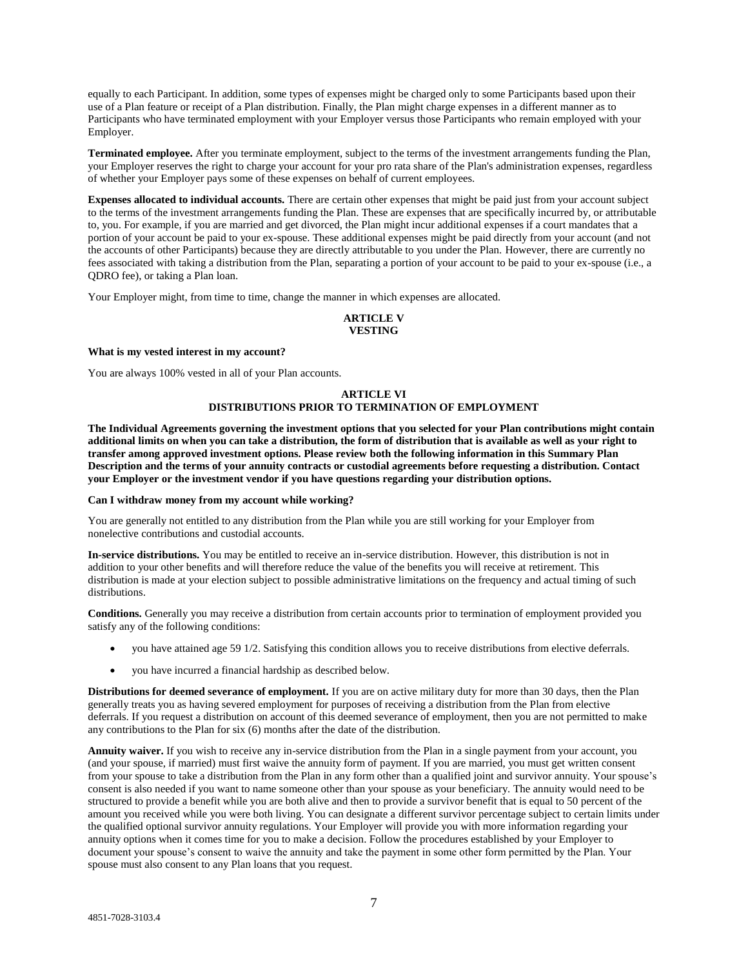equally to each Participant. In addition, some types of expenses might be charged only to some Participants based upon their use of a Plan feature or receipt of a Plan distribution. Finally, the Plan might charge expenses in a different manner as to Participants who have terminated employment with your Employer versus those Participants who remain employed with your Employer.

**Terminated employee.** After you terminate employment, subject to the terms of the investment arrangements funding the Plan, your Employer reserves the right to charge your account for your pro rata share of the Plan's administration expenses, regardless of whether your Employer pays some of these expenses on behalf of current employees.

**Expenses allocated to individual accounts.** There are certain other expenses that might be paid just from your account subject to the terms of the investment arrangements funding the Plan. These are expenses that are specifically incurred by, or attributable to, you. For example, if you are married and get divorced, the Plan might incur additional expenses if a court mandates that a portion of your account be paid to your ex-spouse. These additional expenses might be paid directly from your account (and not the accounts of other Participants) because they are directly attributable to you under the Plan. However, there are currently no fees associated with taking a distribution from the Plan, separating a portion of your account to be paid to your ex-spouse (i.e., a QDRO fee), or taking a Plan loan.

Your Employer might, from time to time, change the manner in which expenses are allocated.

# **ARTICLE V VESTING**

#### **What is my vested interest in my account?**

You are always 100% vested in all of your Plan accounts.

# **ARTICLE VI DISTRIBUTIONS PRIOR TO TERMINATION OF EMPLOYMENT**

**The Individual Agreements governing the investment options that you selected for your Plan contributions might contain additional limits on when you can take a distribution, the form of distribution that is available as well as your right to transfer among approved investment options. Please review both the following information in this Summary Plan Description and the terms of your annuity contracts or custodial agreements before requesting a distribution. Contact your Employer or the investment vendor if you have questions regarding your distribution options.**

#### **Can I withdraw money from my account while working?**

You are generally not entitled to any distribution from the Plan while you are still working for your Employer from nonelective contributions and custodial accounts.

**In-service distributions.** You may be entitled to receive an in-service distribution. However, this distribution is not in addition to your other benefits and will therefore reduce the value of the benefits you will receive at retirement. This distribution is made at your election subject to possible administrative limitations on the frequency and actual timing of such distributions.

**Conditions.** Generally you may receive a distribution from certain accounts prior to termination of employment provided you satisfy any of the following conditions:

- you have attained age 59 1/2. Satisfying this condition allows you to receive distributions from elective deferrals.
- you have incurred a financial hardship as described below.

**Distributions for deemed severance of employment.** If you are on active military duty for more than 30 days, then the Plan generally treats you as having severed employment for purposes of receiving a distribution from the Plan from elective deferrals. If you request a distribution on account of this deemed severance of employment, then you are not permitted to make any contributions to the Plan for six (6) months after the date of the distribution.

**Annuity waiver.** If you wish to receive any in-service distribution from the Plan in a single payment from your account, you (and your spouse, if married) must first waive the annuity form of payment. If you are married, you must get written consent from your spouse to take a distribution from the Plan in any form other than a qualified joint and survivor annuity. Your spouse's consent is also needed if you want to name someone other than your spouse as your beneficiary. The annuity would need to be structured to provide a benefit while you are both alive and then to provide a survivor benefit that is equal to 50 percent of the amount you received while you were both living. You can designate a different survivor percentage subject to certain limits under the qualified optional survivor annuity regulations. Your Employer will provide you with more information regarding your annuity options when it comes time for you to make a decision. Follow the procedures established by your Employer to document your spouse's consent to waive the annuity and take the payment in some other form permitted by the Plan. Your spouse must also consent to any Plan loans that you request.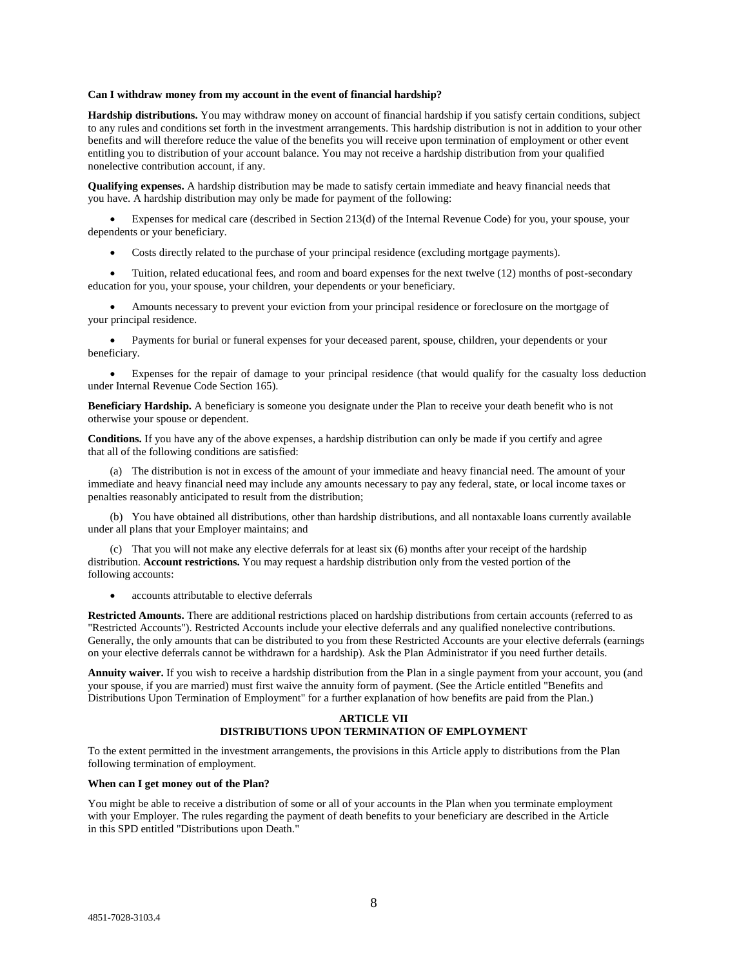#### **Can I withdraw money from my account in the event of financial hardship?**

**Hardship distributions.** You may withdraw money on account of financial hardship if you satisfy certain conditions, subject to any rules and conditions set forth in the investment arrangements. This hardship distribution is not in addition to your other benefits and will therefore reduce the value of the benefits you will receive upon termination of employment or other event entitling you to distribution of your account balance. You may not receive a hardship distribution from your qualified nonelective contribution account, if any.

**Qualifying expenses.** A hardship distribution may be made to satisfy certain immediate and heavy financial needs that you have. A hardship distribution may only be made for payment of the following:

 Expenses for medical care (described in Section 213(d) of the Internal Revenue Code) for you, your spouse, your dependents or your beneficiary.

Costs directly related to the purchase of your principal residence (excluding mortgage payments).

 Tuition, related educational fees, and room and board expenses for the next twelve (12) months of post-secondary education for you, your spouse, your children, your dependents or your beneficiary.

 Amounts necessary to prevent your eviction from your principal residence or foreclosure on the mortgage of your principal residence.

 Payments for burial or funeral expenses for your deceased parent, spouse, children, your dependents or your beneficiary.

 Expenses for the repair of damage to your principal residence (that would qualify for the casualty loss deduction under Internal Revenue Code Section 165).

**Beneficiary Hardship.** A beneficiary is someone you designate under the Plan to receive your death benefit who is not otherwise your spouse or dependent.

**Conditions.** If you have any of the above expenses, a hardship distribution can only be made if you certify and agree that all of the following conditions are satisfied:

(a) The distribution is not in excess of the amount of your immediate and heavy financial need. The amount of your immediate and heavy financial need may include any amounts necessary to pay any federal, state, or local income taxes or penalties reasonably anticipated to result from the distribution;

(b) You have obtained all distributions, other than hardship distributions, and all nontaxable loans currently available under all plans that your Employer maintains; and

(c) That you will not make any elective deferrals for at least six (6) months after your receipt of the hardship distribution. **Account restrictions.** You may request a hardship distribution only from the vested portion of the following accounts:

accounts attributable to elective deferrals

**Restricted Amounts.** There are additional restrictions placed on hardship distributions from certain accounts (referred to as "Restricted Accounts"). Restricted Accounts include your elective deferrals and any qualified nonelective contributions. Generally, the only amounts that can be distributed to you from these Restricted Accounts are your elective deferrals (earnings on your elective deferrals cannot be withdrawn for a hardship). Ask the Plan Administrator if you need further details.

**Annuity waiver.** If you wish to receive a hardship distribution from the Plan in a single payment from your account, you (and your spouse, if you are married) must first waive the annuity form of payment. (See the Article entitled "Benefits and Distributions Upon Termination of Employment" for a further explanation of how benefits are paid from the Plan.)

#### **ARTICLE VII DISTRIBUTIONS UPON TERMINATION OF EMPLOYMENT**

To the extent permitted in the investment arrangements, the provisions in this Article apply to distributions from the Plan following termination of employment.

#### **When can I get money out of the Plan?**

You might be able to receive a distribution of some or all of your accounts in the Plan when you terminate employment with your Employer. The rules regarding the payment of death benefits to your beneficiary are described in the Article in this SPD entitled "Distributions upon Death."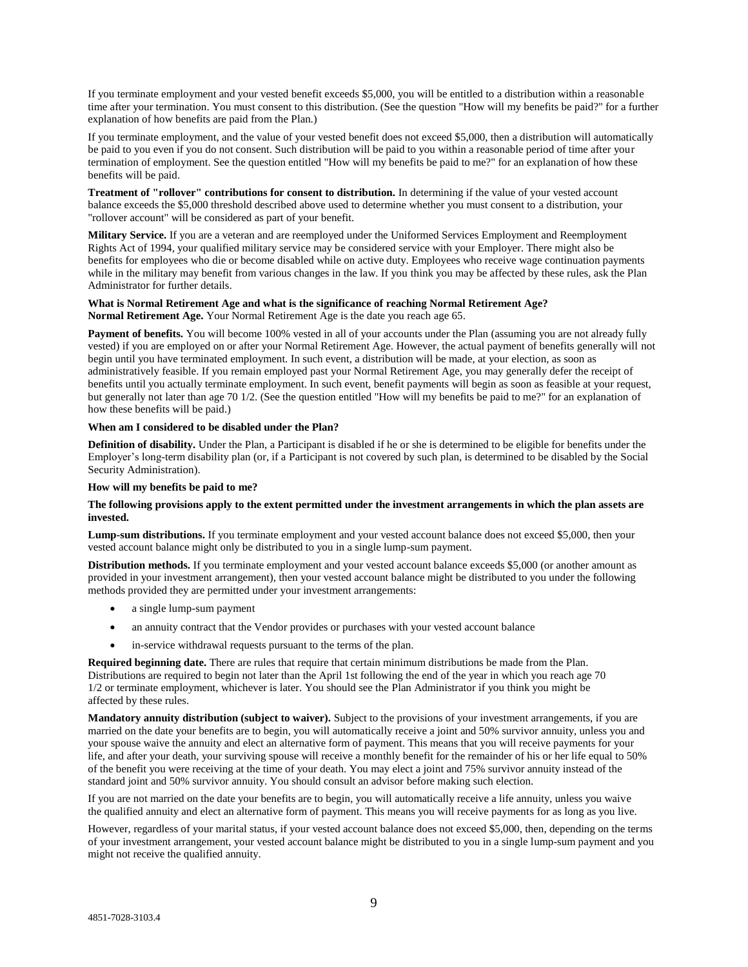If you terminate employment and your vested benefit exceeds \$5,000, you will be entitled to a distribution within a reasonable time after your termination. You must consent to this distribution. (See the question "How will my benefits be paid?" for a further explanation of how benefits are paid from the Plan.)

If you terminate employment, and the value of your vested benefit does not exceed \$5,000, then a distribution will automatically be paid to you even if you do not consent. Such distribution will be paid to you within a reasonable period of time after your termination of employment. See the question entitled "How will my benefits be paid to me?" for an explanation of how these benefits will be paid.

**Treatment of "rollover" contributions for consent to distribution.** In determining if the value of your vested account balance exceeds the \$5,000 threshold described above used to determine whether you must consent to a distribution, your "rollover account" will be considered as part of your benefit.

**Military Service.** If you are a veteran and are reemployed under the Uniformed Services Employment and Reemployment Rights Act of 1994, your qualified military service may be considered service with your Employer. There might also be benefits for employees who die or become disabled while on active duty. Employees who receive wage continuation payments while in the military may benefit from various changes in the law. If you think you may be affected by these rules, ask the Plan Administrator for further details.

#### **What is Normal Retirement Age and what is the significance of reaching Normal Retirement Age? Normal Retirement Age.** Your Normal Retirement Age is the date you reach age 65.

Payment of benefits. You will become 100% vested in all of your accounts under the Plan (assuming you are not already fully vested) if you are employed on or after your Normal Retirement Age. However, the actual payment of benefits generally will not begin until you have terminated employment. In such event, a distribution will be made, at your election, as soon as administratively feasible. If you remain employed past your Normal Retirement Age, you may generally defer the receipt of benefits until you actually terminate employment. In such event, benefit payments will begin as soon as feasible at your request, but generally not later than age 70 1/2. (See the question entitled "How will my benefits be paid to me?" for an explanation of how these benefits will be paid.)

# **When am I considered to be disabled under the Plan?**

**Definition of disability.** Under the Plan, a Participant is disabled if he or she is determined to be eligible for benefits under the Employer's long-term disability plan (or, if a Participant is not covered by such plan, is determined to be disabled by the Social Security Administration).

## **How will my benefits be paid to me?**

# **The following provisions apply to the extent permitted under the investment arrangements in which the plan assets are invested.**

**Lump-sum distributions.** If you terminate employment and your vested account balance does not exceed \$5,000, then your vested account balance might only be distributed to you in a single lump-sum payment.

**Distribution methods.** If you terminate employment and your vested account balance exceeds \$5,000 (or another amount as provided in your investment arrangement), then your vested account balance might be distributed to you under the following methods provided they are permitted under your investment arrangements:

- a single lump-sum payment
- an annuity contract that the Vendor provides or purchases with your vested account balance
- in-service withdrawal requests pursuant to the terms of the plan.

**Required beginning date.** There are rules that require that certain minimum distributions be made from the Plan. Distributions are required to begin not later than the April 1st following the end of the year in which you reach age 70 1/2 or terminate employment, whichever is later. You should see the Plan Administrator if you think you might be affected by these rules.

**Mandatory annuity distribution (subject to waiver).** Subject to the provisions of your investment arrangements, if you are married on the date your benefits are to begin, you will automatically receive a joint and 50% survivor annuity, unless you and your spouse waive the annuity and elect an alternative form of payment. This means that you will receive payments for your life, and after your death, your surviving spouse will receive a monthly benefit for the remainder of his or her life equal to 50% of the benefit you were receiving at the time of your death. You may elect a joint and 75% survivor annuity instead of the standard joint and 50% survivor annuity. You should consult an advisor before making such election.

If you are not married on the date your benefits are to begin, you will automatically receive a life annuity, unless you waive the qualified annuity and elect an alternative form of payment. This means you will receive payments for as long as you live.

However, regardless of your marital status, if your vested account balance does not exceed \$5,000, then, depending on the terms of your investment arrangement, your vested account balance might be distributed to you in a single lump-sum payment and you might not receive the qualified annuity.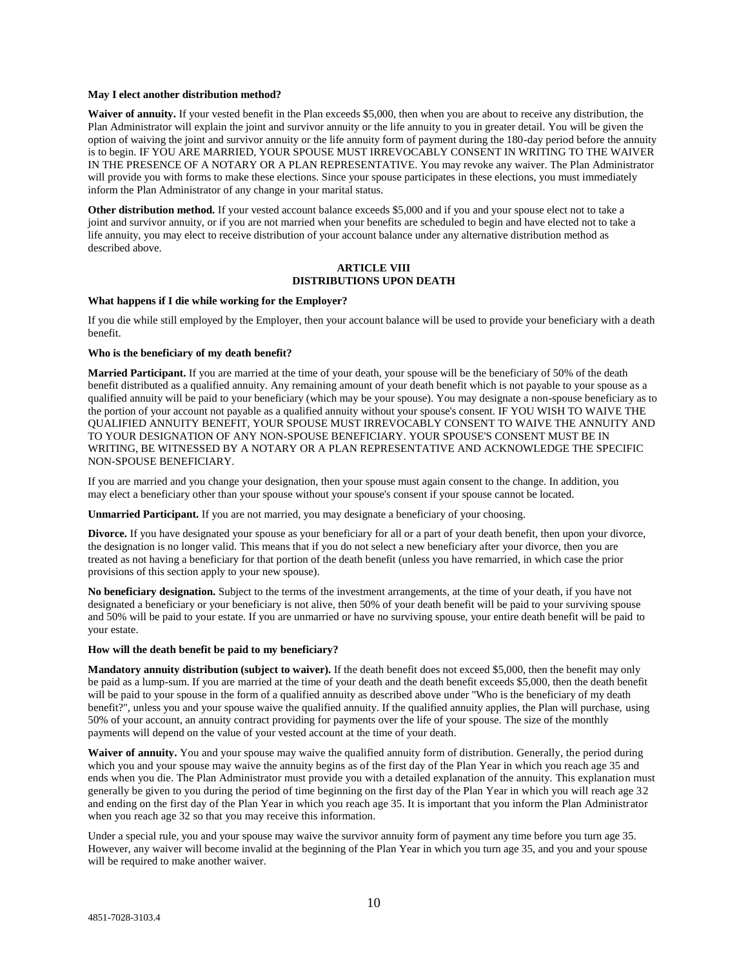#### **May I elect another distribution method?**

**Waiver of annuity.** If your vested benefit in the Plan exceeds \$5,000, then when you are about to receive any distribution, the Plan Administrator will explain the joint and survivor annuity or the life annuity to you in greater detail. You will be given the option of waiving the joint and survivor annuity or the life annuity form of payment during the 180-day period before the annuity is to begin. IF YOU ARE MARRIED, YOUR SPOUSE MUST IRREVOCABLY CONSENT IN WRITING TO THE WAIVER IN THE PRESENCE OF A NOTARY OR A PLAN REPRESENTATIVE. You may revoke any waiver. The Plan Administrator will provide you with forms to make these elections. Since your spouse participates in these elections, you must immediately inform the Plan Administrator of any change in your marital status.

**Other distribution method.** If your vested account balance exceeds \$5,000 and if you and your spouse elect not to take a joint and survivor annuity, or if you are not married when your benefits are scheduled to begin and have elected not to take a life annuity, you may elect to receive distribution of your account balance under any alternative distribution method as described above.

# **ARTICLE VIII DISTRIBUTIONS UPON DEATH**

# **What happens if I die while working for the Employer?**

If you die while still employed by the Employer, then your account balance will be used to provide your beneficiary with a death benefit.

#### **Who is the beneficiary of my death benefit?**

**Married Participant.** If you are married at the time of your death, your spouse will be the beneficiary of 50% of the death benefit distributed as a qualified annuity. Any remaining amount of your death benefit which is not payable to your spouse as a qualified annuity will be paid to your beneficiary (which may be your spouse). You may designate a non-spouse beneficiary as to the portion of your account not payable as a qualified annuity without your spouse's consent. IF YOU WISH TO WAIVE THE QUALIFIED ANNUITY BENEFIT, YOUR SPOUSE MUST IRREVOCABLY CONSENT TO WAIVE THE ANNUITY AND TO YOUR DESIGNATION OF ANY NON-SPOUSE BENEFICIARY. YOUR SPOUSE'S CONSENT MUST BE IN WRITING, BE WITNESSED BY A NOTARY OR A PLAN REPRESENTATIVE AND ACKNOWLEDGE THE SPECIFIC NON-SPOUSE BENEFICIARY.

If you are married and you change your designation, then your spouse must again consent to the change. In addition, you may elect a beneficiary other than your spouse without your spouse's consent if your spouse cannot be located.

**Unmarried Participant.** If you are not married, you may designate a beneficiary of your choosing.

**Divorce.** If you have designated your spouse as your beneficiary for all or a part of your death benefit, then upon your divorce, the designation is no longer valid. This means that if you do not select a new beneficiary after your divorce, then you are treated as not having a beneficiary for that portion of the death benefit (unless you have remarried, in which case the prior provisions of this section apply to your new spouse).

**No beneficiary designation.** Subject to the terms of the investment arrangements, at the time of your death, if you have not designated a beneficiary or your beneficiary is not alive, then 50% of your death benefit will be paid to your surviving spouse and 50% will be paid to your estate. If you are unmarried or have no surviving spouse, your entire death benefit will be paid to your estate.

#### **How will the death benefit be paid to my beneficiary?**

**Mandatory annuity distribution (subject to waiver).** If the death benefit does not exceed \$5,000, then the benefit may only be paid as a lump-sum. If you are married at the time of your death and the death benefit exceeds \$5,000, then the death benefit will be paid to your spouse in the form of a qualified annuity as described above under "Who is the beneficiary of my death benefit?", unless you and your spouse waive the qualified annuity. If the qualified annuity applies, the Plan will purchase, using 50% of your account, an annuity contract providing for payments over the life of your spouse. The size of the monthly payments will depend on the value of your vested account at the time of your death.

**Waiver of annuity.** You and your spouse may waive the qualified annuity form of distribution. Generally, the period during which you and your spouse may waive the annuity begins as of the first day of the Plan Year in which you reach age 35 and ends when you die. The Plan Administrator must provide you with a detailed explanation of the annuity. This explanation must generally be given to you during the period of time beginning on the first day of the Plan Year in which you will reach age 32 and ending on the first day of the Plan Year in which you reach age 35. It is important that you inform the Plan Administrator when you reach age 32 so that you may receive this information.

Under a special rule, you and your spouse may waive the survivor annuity form of payment any time before you turn age 35. However, any waiver will become invalid at the beginning of the Plan Year in which you turn age 35, and you and your spouse will be required to make another waiver.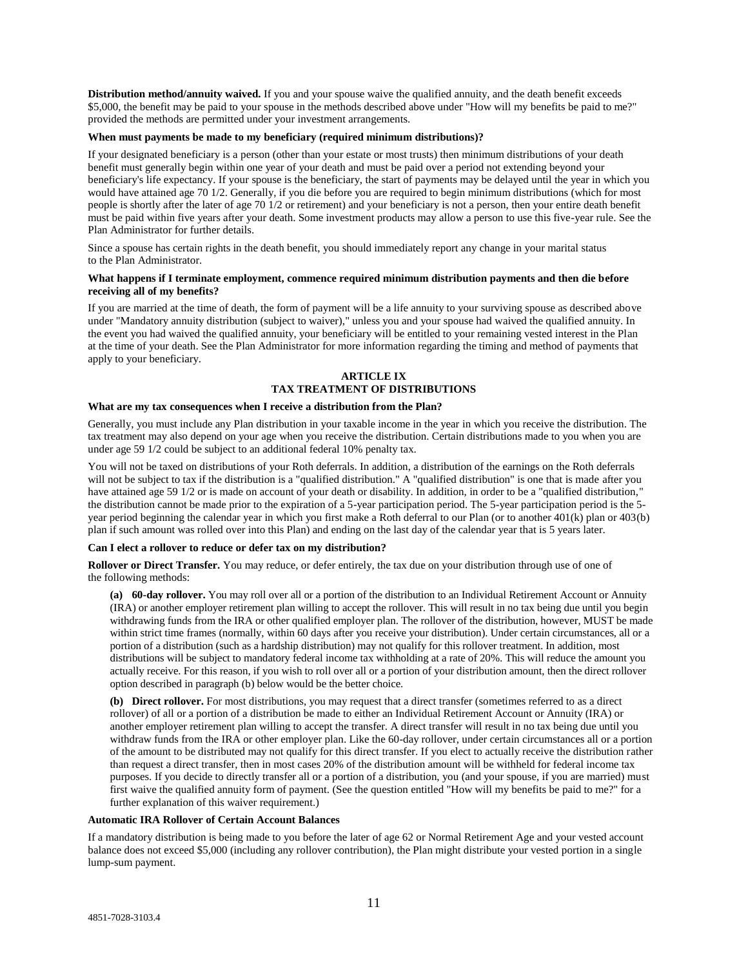**Distribution method/annuity waived.** If you and your spouse waive the qualified annuity, and the death benefit exceeds \$5,000, the benefit may be paid to your spouse in the methods described above under "How will my benefits be paid to me?" provided the methods are permitted under your investment arrangements.

#### **When must payments be made to my beneficiary (required minimum distributions)?**

If your designated beneficiary is a person (other than your estate or most trusts) then minimum distributions of your death benefit must generally begin within one year of your death and must be paid over a period not extending beyond your beneficiary's life expectancy. If your spouse is the beneficiary, the start of payments may be delayed until the year in which you would have attained age 70 1/2. Generally, if you die before you are required to begin minimum distributions (which for most people is shortly after the later of age 70 1/2 or retirement) and your beneficiary is not a person, then your entire death benefit must be paid within five years after your death. Some investment products may allow a person to use this five-year rule. See the Plan Administrator for further details.

Since a spouse has certain rights in the death benefit, you should immediately report any change in your marital status to the Plan Administrator.

### **What happens if I terminate employment, commence required minimum distribution payments and then die before receiving all of my benefits?**

If you are married at the time of death, the form of payment will be a life annuity to your surviving spouse as described above under "Mandatory annuity distribution (subject to waiver)," unless you and your spouse had waived the qualified annuity. In the event you had waived the qualified annuity, your beneficiary will be entitled to your remaining vested interest in the Plan at the time of your death. See the Plan Administrator for more information regarding the timing and method of payments that apply to your beneficiary.

# **ARTICLE IX TAX TREATMENT OF DISTRIBUTIONS**

#### **What are my tax consequences when I receive a distribution from the Plan?**

Generally, you must include any Plan distribution in your taxable income in the year in which you receive the distribution. The tax treatment may also depend on your age when you receive the distribution. Certain distributions made to you when you are under age 59 1/2 could be subject to an additional federal 10% penalty tax.

You will not be taxed on distributions of your Roth deferrals. In addition, a distribution of the earnings on the Roth deferrals will not be subject to tax if the distribution is a "qualified distribution." A "qualified distribution" is one that is made after you have attained age 59 1/2 or is made on account of your death or disability. In addition, in order to be a "qualified distribution," the distribution cannot be made prior to the expiration of a 5-year participation period. The 5-year participation period is the 5 year period beginning the calendar year in which you first make a Roth deferral to our Plan (or to another 401(k) plan or 403(b) plan if such amount was rolled over into this Plan) and ending on the last day of the calendar year that is 5 years later.

#### **Can I elect a rollover to reduce or defer tax on my distribution?**

**Rollover or Direct Transfer.** You may reduce, or defer entirely, the tax due on your distribution through use of one of the following methods:

**(a) 60-day rollover.** You may roll over all or a portion of the distribution to an Individual Retirement Account or Annuity (IRA) or another employer retirement plan willing to accept the rollover. This will result in no tax being due until you begin withdrawing funds from the IRA or other qualified employer plan. The rollover of the distribution, however, MUST be made within strict time frames (normally, within 60 days after you receive your distribution). Under certain circumstances, all or a portion of a distribution (such as a hardship distribution) may not qualify for this rollover treatment. In addition, most distributions will be subject to mandatory federal income tax withholding at a rate of 20%. This will reduce the amount you actually receive. For this reason, if you wish to roll over all or a portion of your distribution amount, then the direct rollover option described in paragraph (b) below would be the better choice.

**(b) Direct rollover.** For most distributions, you may request that a direct transfer (sometimes referred to as a direct rollover) of all or a portion of a distribution be made to either an Individual Retirement Account or Annuity (IRA) or another employer retirement plan willing to accept the transfer. A direct transfer will result in no tax being due until you withdraw funds from the IRA or other employer plan. Like the 60-day rollover, under certain circumstances all or a portion of the amount to be distributed may not qualify for this direct transfer. If you elect to actually receive the distribution rather than request a direct transfer, then in most cases 20% of the distribution amount will be withheld for federal income tax purposes. If you decide to directly transfer all or a portion of a distribution, you (and your spouse, if you are married) must first waive the qualified annuity form of payment. (See the question entitled "How will my benefits be paid to me?" for a further explanation of this waiver requirement.)

#### **Automatic IRA Rollover of Certain Account Balances**

If a mandatory distribution is being made to you before the later of age 62 or Normal Retirement Age and your vested account balance does not exceed \$5,000 (including any rollover contribution), the Plan might distribute your vested portion in a single lump-sum payment.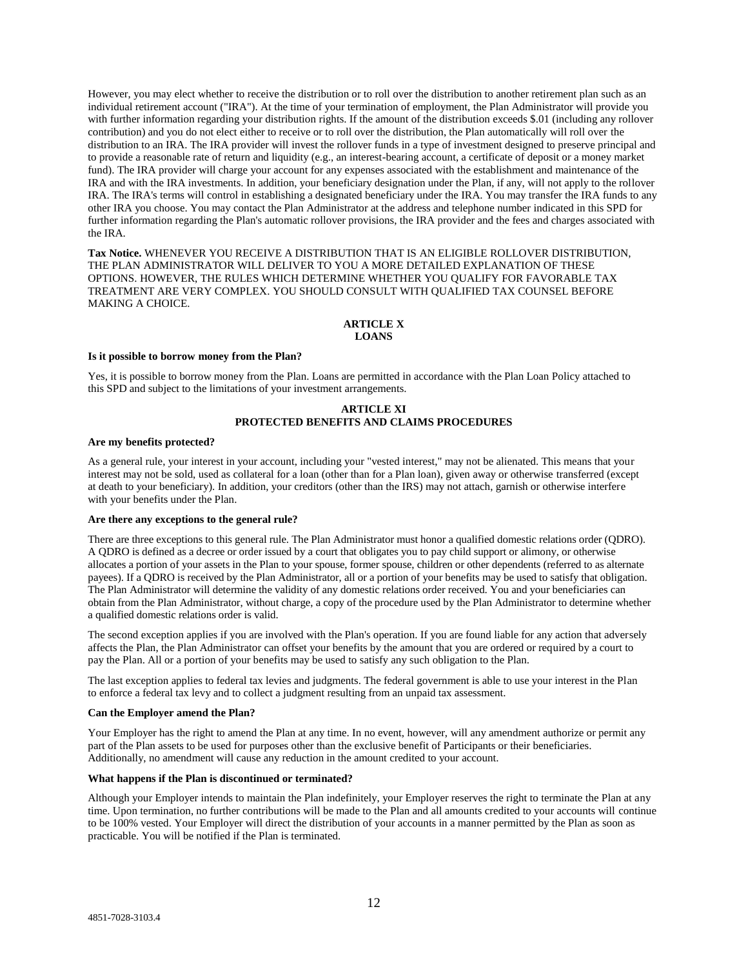However, you may elect whether to receive the distribution or to roll over the distribution to another retirement plan such as an individual retirement account ("IRA"). At the time of your termination of employment, the Plan Administrator will provide you with further information regarding your distribution rights. If the amount of the distribution exceeds \$.01 (including any rollover contribution) and you do not elect either to receive or to roll over the distribution, the Plan automatically will roll over the distribution to an IRA. The IRA provider will invest the rollover funds in a type of investment designed to preserve principal and to provide a reasonable rate of return and liquidity (e.g., an interest-bearing account, a certificate of deposit or a money market fund). The IRA provider will charge your account for any expenses associated with the establishment and maintenance of the IRA and with the IRA investments. In addition, your beneficiary designation under the Plan, if any, will not apply to the rollover IRA. The IRA's terms will control in establishing a designated beneficiary under the IRA. You may transfer the IRA funds to any other IRA you choose. You may contact the Plan Administrator at the address and telephone number indicated in this SPD for further information regarding the Plan's automatic rollover provisions, the IRA provider and the fees and charges associated with the IRA.

**Tax Notice.** WHENEVER YOU RECEIVE A DISTRIBUTION THAT IS AN ELIGIBLE ROLLOVER DISTRIBUTION, THE PLAN ADMINISTRATOR WILL DELIVER TO YOU A MORE DETAILED EXPLANATION OF THESE OPTIONS. HOWEVER, THE RULES WHICH DETERMINE WHETHER YOU QUALIFY FOR FAVORABLE TAX TREATMENT ARE VERY COMPLEX. YOU SHOULD CONSULT WITH QUALIFIED TAX COUNSEL BEFORE MAKING A CHOICE.

# **ARTICLE X**

# **LOANS**

#### **Is it possible to borrow money from the Plan?**

Yes, it is possible to borrow money from the Plan. Loans are permitted in accordance with the Plan Loan Policy attached to this SPD and subject to the limitations of your investment arrangements.

# **ARTICLE XI PROTECTED BENEFITS AND CLAIMS PROCEDURES**

#### **Are my benefits protected?**

As a general rule, your interest in your account, including your "vested interest," may not be alienated. This means that your interest may not be sold, used as collateral for a loan (other than for a Plan loan), given away or otherwise transferred (except at death to your beneficiary). In addition, your creditors (other than the IRS) may not attach, garnish or otherwise interfere with your benefits under the Plan.

#### **Are there any exceptions to the general rule?**

There are three exceptions to this general rule. The Plan Administrator must honor a qualified domestic relations order (QDRO). A QDRO is defined as a decree or order issued by a court that obligates you to pay child support or alimony, or otherwise allocates a portion of your assets in the Plan to your spouse, former spouse, children or other dependents (referred to as alternate payees). If a QDRO is received by the Plan Administrator, all or a portion of your benefits may be used to satisfy that obligation. The Plan Administrator will determine the validity of any domestic relations order received. You and your beneficiaries can obtain from the Plan Administrator, without charge, a copy of the procedure used by the Plan Administrator to determine whether a qualified domestic relations order is valid.

The second exception applies if you are involved with the Plan's operation. If you are found liable for any action that adversely affects the Plan, the Plan Administrator can offset your benefits by the amount that you are ordered or required by a court to pay the Plan. All or a portion of your benefits may be used to satisfy any such obligation to the Plan.

The last exception applies to federal tax levies and judgments. The federal government is able to use your interest in the Plan to enforce a federal tax levy and to collect a judgment resulting from an unpaid tax assessment.

#### **Can the Employer amend the Plan?**

Your Employer has the right to amend the Plan at any time. In no event, however, will any amendment authorize or permit any part of the Plan assets to be used for purposes other than the exclusive benefit of Participants or their beneficiaries. Additionally, no amendment will cause any reduction in the amount credited to your account.

#### **What happens if the Plan is discontinued or terminated?**

Although your Employer intends to maintain the Plan indefinitely, your Employer reserves the right to terminate the Plan at any time. Upon termination, no further contributions will be made to the Plan and all amounts credited to your accounts will continue to be 100% vested. Your Employer will direct the distribution of your accounts in a manner permitted by the Plan as soon as practicable. You will be notified if the Plan is terminated.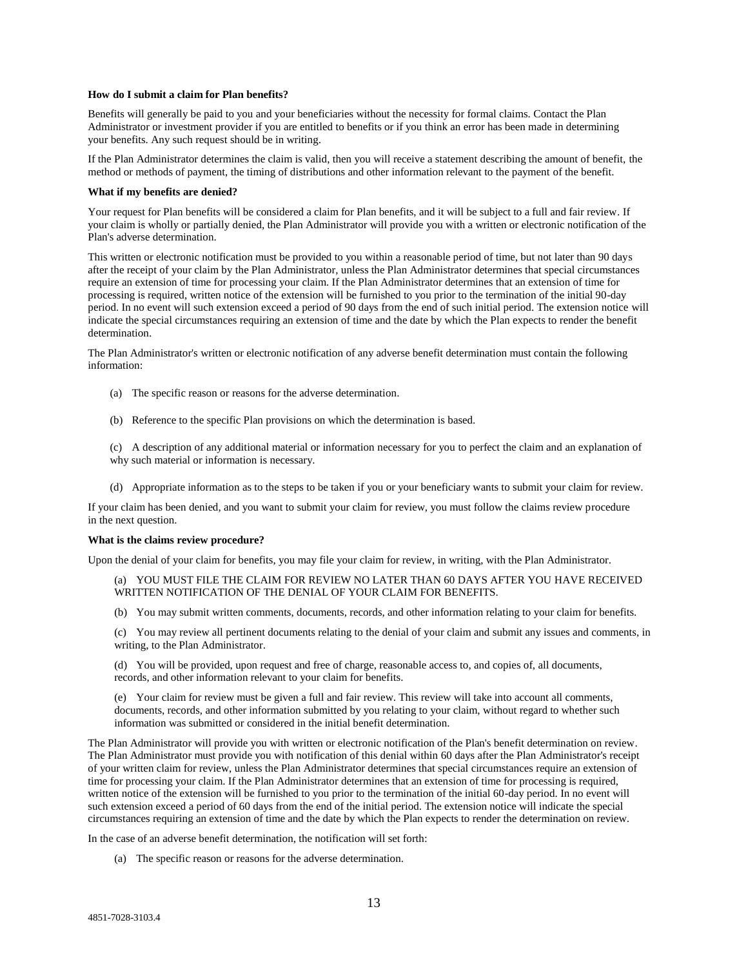#### **How do I submit a claim for Plan benefits?**

Benefits will generally be paid to you and your beneficiaries without the necessity for formal claims. Contact the Plan Administrator or investment provider if you are entitled to benefits or if you think an error has been made in determining your benefits. Any such request should be in writing.

If the Plan Administrator determines the claim is valid, then you will receive a statement describing the amount of benefit, the method or methods of payment, the timing of distributions and other information relevant to the payment of the benefit.

#### **What if my benefits are denied?**

Your request for Plan benefits will be considered a claim for Plan benefits, and it will be subject to a full and fair review. If your claim is wholly or partially denied, the Plan Administrator will provide you with a written or electronic notification of the Plan's adverse determination.

This written or electronic notification must be provided to you within a reasonable period of time, but not later than 90 days after the receipt of your claim by the Plan Administrator, unless the Plan Administrator determines that special circumstances require an extension of time for processing your claim. If the Plan Administrator determines that an extension of time for processing is required, written notice of the extension will be furnished to you prior to the termination of the initial 90-day period. In no event will such extension exceed a period of 90 days from the end of such initial period. The extension notice will indicate the special circumstances requiring an extension of time and the date by which the Plan expects to render the benefit determination.

The Plan Administrator's written or electronic notification of any adverse benefit determination must contain the following information:

- (a) The specific reason or reasons for the adverse determination.
- (b) Reference to the specific Plan provisions on which the determination is based.
- (c) A description of any additional material or information necessary for you to perfect the claim and an explanation of why such material or information is necessary.
- (d) Appropriate information as to the steps to be taken if you or your beneficiary wants to submit your claim for review.

If your claim has been denied, and you want to submit your claim for review, you must follow the claims review procedure in the next question.

#### **What is the claims review procedure?**

Upon the denial of your claim for benefits, you may file your claim for review, in writing, with the Plan Administrator.

(a) YOU MUST FILE THE CLAIM FOR REVIEW NO LATER THAN 60 DAYS AFTER YOU HAVE RECEIVED WRITTEN NOTIFICATION OF THE DENIAL OF YOUR CLAIM FOR BENEFITS.

(b) You may submit written comments, documents, records, and other information relating to your claim for benefits.

(c) You may review all pertinent documents relating to the denial of your claim and submit any issues and comments, in writing, to the Plan Administrator.

(d) You will be provided, upon request and free of charge, reasonable access to, and copies of, all documents, records, and other information relevant to your claim for benefits.

(e) Your claim for review must be given a full and fair review. This review will take into account all comments, documents, records, and other information submitted by you relating to your claim, without regard to whether such information was submitted or considered in the initial benefit determination.

The Plan Administrator will provide you with written or electronic notification of the Plan's benefit determination on review. The Plan Administrator must provide you with notification of this denial within 60 days after the Plan Administrator's receipt of your written claim for review, unless the Plan Administrator determines that special circumstances require an extension of time for processing your claim. If the Plan Administrator determines that an extension of time for processing is required, written notice of the extension will be furnished to you prior to the termination of the initial 60-day period. In no event will such extension exceed a period of 60 days from the end of the initial period. The extension notice will indicate the special circumstances requiring an extension of time and the date by which the Plan expects to render the determination on review.

In the case of an adverse benefit determination, the notification will set forth:

(a) The specific reason or reasons for the adverse determination.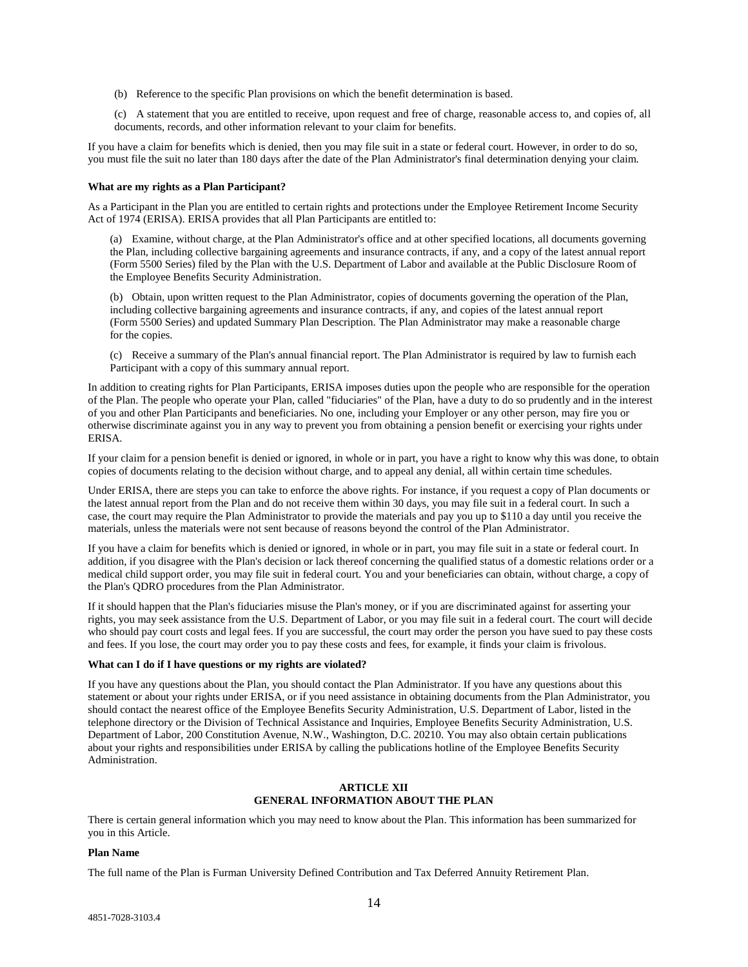- (b) Reference to the specific Plan provisions on which the benefit determination is based.
- (c) A statement that you are entitled to receive, upon request and free of charge, reasonable access to, and copies of, all documents, records, and other information relevant to your claim for benefits.

If you have a claim for benefits which is denied, then you may file suit in a state or federal court. However, in order to do so, you must file the suit no later than 180 days after the date of the Plan Administrator's final determination denying your claim.

#### **What are my rights as a Plan Participant?**

As a Participant in the Plan you are entitled to certain rights and protections under the Employee Retirement Income Security Act of 1974 (ERISA). ERISA provides that all Plan Participants are entitled to:

(a) Examine, without charge, at the Plan Administrator's office and at other specified locations, all documents governing the Plan, including collective bargaining agreements and insurance contracts, if any, and a copy of the latest annual report (Form 5500 Series) filed by the Plan with the U.S. Department of Labor and available at the Public Disclosure Room of the Employee Benefits Security Administration.

(b) Obtain, upon written request to the Plan Administrator, copies of documents governing the operation of the Plan, including collective bargaining agreements and insurance contracts, if any, and copies of the latest annual report (Form 5500 Series) and updated Summary Plan Description. The Plan Administrator may make a reasonable charge for the copies.

(c) Receive a summary of the Plan's annual financial report. The Plan Administrator is required by law to furnish each Participant with a copy of this summary annual report.

In addition to creating rights for Plan Participants, ERISA imposes duties upon the people who are responsible for the operation of the Plan. The people who operate your Plan, called "fiduciaries" of the Plan, have a duty to do so prudently and in the interest of you and other Plan Participants and beneficiaries. No one, including your Employer or any other person, may fire you or otherwise discriminate against you in any way to prevent you from obtaining a pension benefit or exercising your rights under ERISA.

If your claim for a pension benefit is denied or ignored, in whole or in part, you have a right to know why this was done, to obtain copies of documents relating to the decision without charge, and to appeal any denial, all within certain time schedules.

Under ERISA, there are steps you can take to enforce the above rights. For instance, if you request a copy of Plan documents or the latest annual report from the Plan and do not receive them within 30 days, you may file suit in a federal court. In such a case, the court may require the Plan Administrator to provide the materials and pay you up to \$110 a day until you receive the materials, unless the materials were not sent because of reasons beyond the control of the Plan Administrator.

If you have a claim for benefits which is denied or ignored, in whole or in part, you may file suit in a state or federal court. In addition, if you disagree with the Plan's decision or lack thereof concerning the qualified status of a domestic relations order or a medical child support order, you may file suit in federal court. You and your beneficiaries can obtain, without charge, a copy of the Plan's QDRO procedures from the Plan Administrator.

If it should happen that the Plan's fiduciaries misuse the Plan's money, or if you are discriminated against for asserting your rights, you may seek assistance from the U.S. Department of Labor, or you may file suit in a federal court. The court will decide who should pay court costs and legal fees. If you are successful, the court may order the person you have sued to pay these costs and fees. If you lose, the court may order you to pay these costs and fees, for example, it finds your claim is frivolous.

#### **What can I do if I have questions or my rights are violated?**

If you have any questions about the Plan, you should contact the Plan Administrator. If you have any questions about this statement or about your rights under ERISA, or if you need assistance in obtaining documents from the Plan Administrator, you should contact the nearest office of the Employee Benefits Security Administration, U.S. Department of Labor, listed in the telephone directory or the Division of Technical Assistance and Inquiries, Employee Benefits Security Administration, U.S. Department of Labor, 200 Constitution Avenue, N.W., Washington, D.C. 20210. You may also obtain certain publications about your rights and responsibilities under ERISA by calling the publications hotline of the Employee Benefits Security Administration.

# **ARTICLE XII GENERAL INFORMATION ABOUT THE PLAN**

There is certain general information which you may need to know about the Plan. This information has been summarized for you in this Article.

#### **Plan Name**

The full name of the Plan is Furman University Defined Contribution and Tax Deferred Annuity Retirement Plan.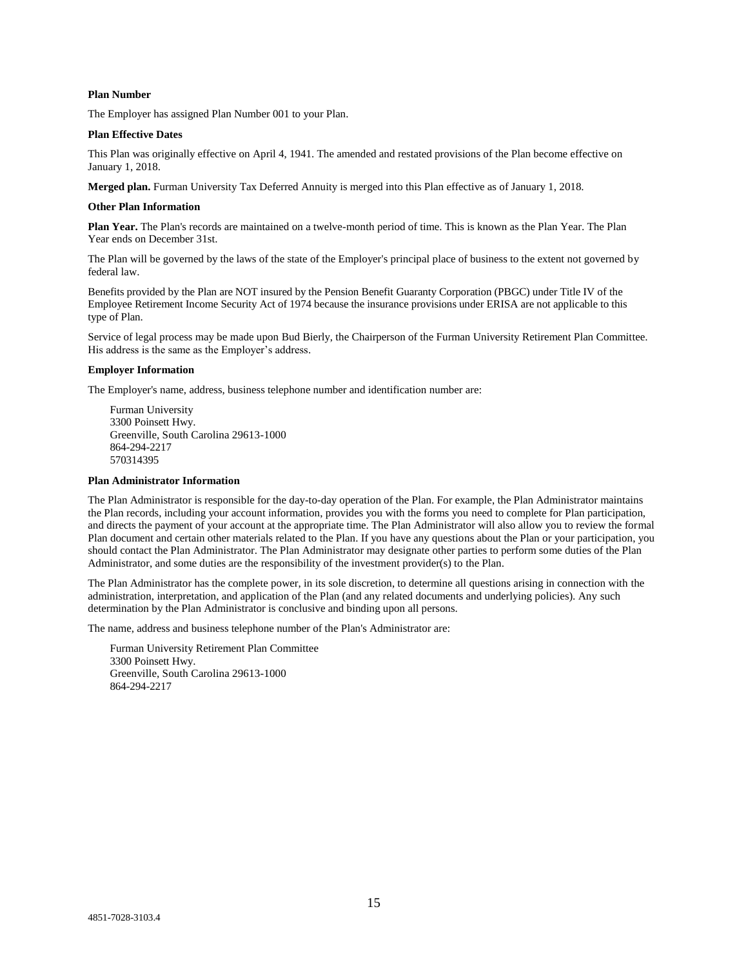## **Plan Number**

The Employer has assigned Plan Number 001 to your Plan.

#### **Plan Effective Dates**

This Plan was originally effective on April 4, 1941. The amended and restated provisions of the Plan become effective on January 1, 2018.

**Merged plan.** Furman University Tax Deferred Annuity is merged into this Plan effective as of January 1, 2018.

#### **Other Plan Information**

**Plan Year.** The Plan's records are maintained on a twelve-month period of time. This is known as the Plan Year. The Plan Year ends on December 31st.

The Plan will be governed by the laws of the state of the Employer's principal place of business to the extent not governed by federal law.

Benefits provided by the Plan are NOT insured by the Pension Benefit Guaranty Corporation (PBGC) under Title IV of the Employee Retirement Income Security Act of 1974 because the insurance provisions under ERISA are not applicable to this type of Plan.

Service of legal process may be made upon Bud Bierly, the Chairperson of the Furman University Retirement Plan Committee. His address is the same as the Employer's address.

#### **Employer Information**

The Employer's name, address, business telephone number and identification number are:

Furman University 3300 Poinsett Hwy. Greenville, South Carolina 29613-1000 864-294-2217 570314395

#### **Plan Administrator Information**

The Plan Administrator is responsible for the day-to-day operation of the Plan. For example, the Plan Administrator maintains the Plan records, including your account information, provides you with the forms you need to complete for Plan participation, and directs the payment of your account at the appropriate time. The Plan Administrator will also allow you to review the formal Plan document and certain other materials related to the Plan. If you have any questions about the Plan or your participation, you should contact the Plan Administrator. The Plan Administrator may designate other parties to perform some duties of the Plan Administrator, and some duties are the responsibility of the investment provider(s) to the Plan.

The Plan Administrator has the complete power, in its sole discretion, to determine all questions arising in connection with the administration, interpretation, and application of the Plan (and any related documents and underlying policies). Any such determination by the Plan Administrator is conclusive and binding upon all persons.

The name, address and business telephone number of the Plan's Administrator are:

Furman University Retirement Plan Committee 3300 Poinsett Hwy. Greenville, South Carolina 29613-1000 864-294-2217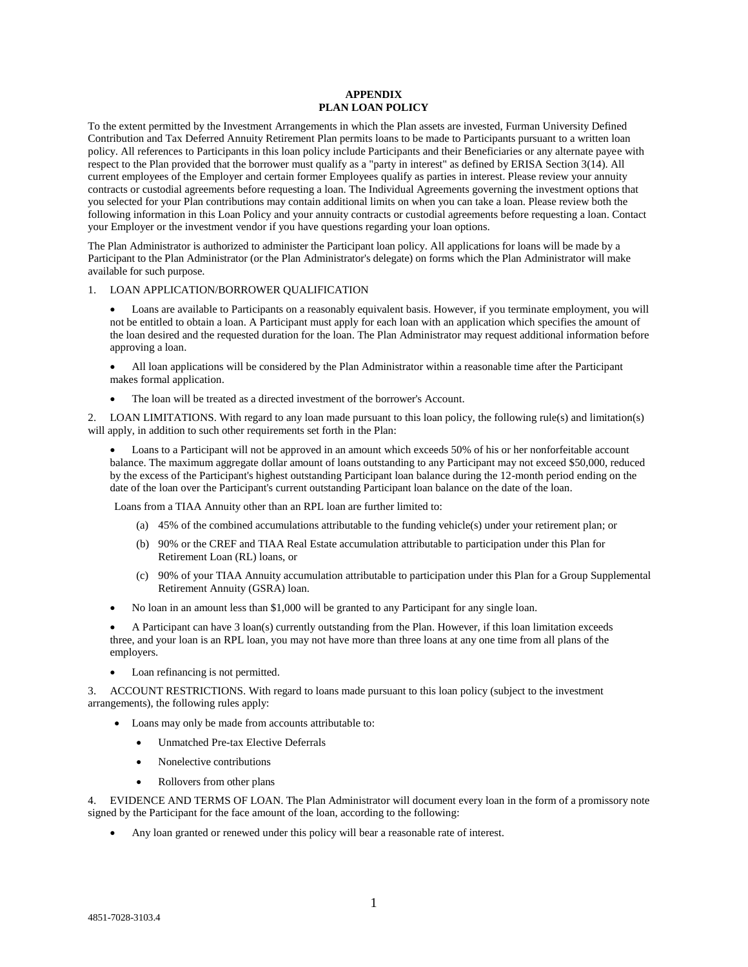#### **APPENDIX PLAN LOAN POLICY**

To the extent permitted by the Investment Arrangements in which the Plan assets are invested, Furman University Defined Contribution and Tax Deferred Annuity Retirement Plan permits loans to be made to Participants pursuant to a written loan policy. All references to Participants in this loan policy include Participants and their Beneficiaries or any alternate payee with respect to the Plan provided that the borrower must qualify as a "party in interest" as defined by ERISA Section 3(14). All current employees of the Employer and certain former Employees qualify as parties in interest. Please review your annuity contracts or custodial agreements before requesting a loan. The Individual Agreements governing the investment options that you selected for your Plan contributions may contain additional limits on when you can take a loan. Please review both the following information in this Loan Policy and your annuity contracts or custodial agreements before requesting a loan. Contact your Employer or the investment vendor if you have questions regarding your loan options.

The Plan Administrator is authorized to administer the Participant loan policy. All applications for loans will be made by a Participant to the Plan Administrator (or the Plan Administrator's delegate) on forms which the Plan Administrator will make available for such purpose.

#### 1. LOAN APPLICATION/BORROWER QUALIFICATION

 Loans are available to Participants on a reasonably equivalent basis. However, if you terminate employment, you will not be entitled to obtain a loan. A Participant must apply for each loan with an application which specifies the amount of the loan desired and the requested duration for the loan. The Plan Administrator may request additional information before approving a loan.

 All loan applications will be considered by the Plan Administrator within a reasonable time after the Participant makes formal application.

The loan will be treated as a directed investment of the borrower's Account.

2. LOAN LIMITATIONS. With regard to any loan made pursuant to this loan policy, the following rule(s) and limitation(s) will apply, in addition to such other requirements set forth in the Plan:

 Loans to a Participant will not be approved in an amount which exceeds 50% of his or her nonforfeitable account balance. The maximum aggregate dollar amount of loans outstanding to any Participant may not exceed \$50,000, reduced by the excess of the Participant's highest outstanding Participant loan balance during the 12-month period ending on the date of the loan over the Participant's current outstanding Participant loan balance on the date of the loan.

Loans from a TIAA Annuity other than an RPL loan are further limited to:

- (a) 45% of the combined accumulations attributable to the funding vehicle(s) under your retirement plan; or
- (b) 90% or the CREF and TIAA Real Estate accumulation attributable to participation under this Plan for Retirement Loan (RL) loans, or
- (c) 90% of your TIAA Annuity accumulation attributable to participation under this Plan for a Group Supplemental Retirement Annuity (GSRA) loan.
- No loan in an amount less than \$1,000 will be granted to any Participant for any single loan.

 A Participant can have 3 loan(s) currently outstanding from the Plan. However, if this loan limitation exceeds three, and your loan is an RPL loan, you may not have more than three loans at any one time from all plans of the employers.

Loan refinancing is not permitted.

3. ACCOUNT RESTRICTIONS. With regard to loans made pursuant to this loan policy (subject to the investment arrangements), the following rules apply:

- Loans may only be made from accounts attributable to:
	- Unmatched Pre-tax Elective Deferrals
	- Nonelective contributions
	- Rollovers from other plans

4. EVIDENCE AND TERMS OF LOAN. The Plan Administrator will document every loan in the form of a promissory note signed by the Participant for the face amount of the loan, according to the following:

Any loan granted or renewed under this policy will bear a reasonable rate of interest.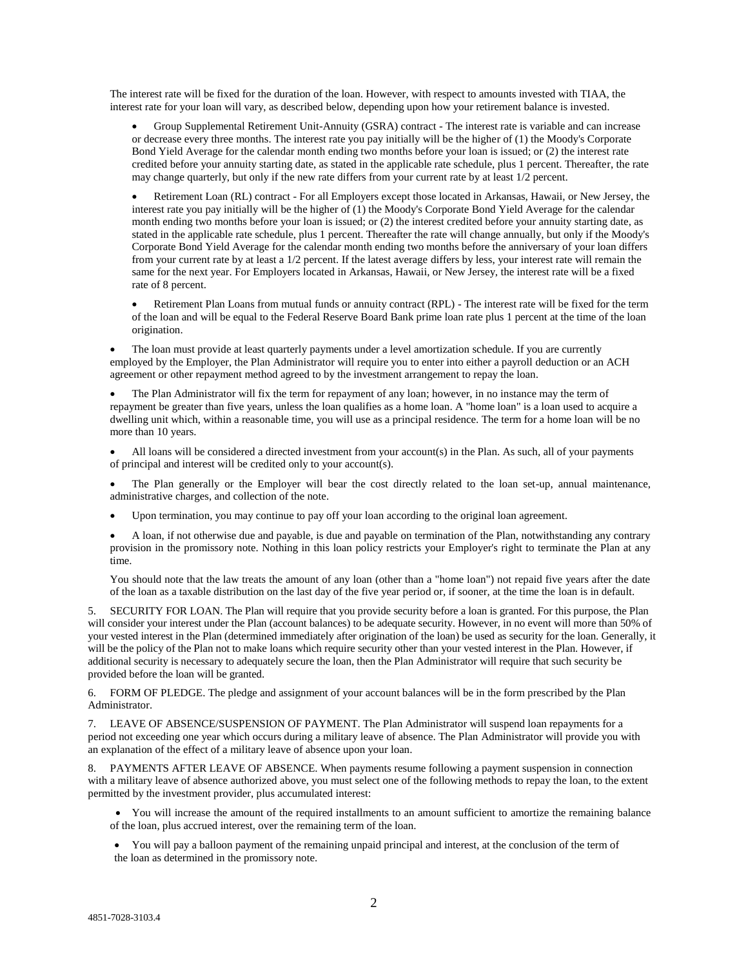The interest rate will be fixed for the duration of the loan. However, with respect to amounts invested with TIAA, the interest rate for your loan will vary, as described below, depending upon how your retirement balance is invested.

 Group Supplemental Retirement Unit-Annuity (GSRA) contract - The interest rate is variable and can increase or decrease every three months. The interest rate you pay initially will be the higher of (1) the Moody's Corporate Bond Yield Average for the calendar month ending two months before your loan is issued; or (2) the interest rate credited before your annuity starting date, as stated in the applicable rate schedule, plus 1 percent. Thereafter, the rate may change quarterly, but only if the new rate differs from your current rate by at least 1/2 percent.

 Retirement Loan (RL) contract - For all Employers except those located in Arkansas, Hawaii, or New Jersey, the interest rate you pay initially will be the higher of (1) the Moody's Corporate Bond Yield Average for the calendar month ending two months before your loan is issued; or (2) the interest credited before your annuity starting date, as stated in the applicable rate schedule, plus 1 percent. Thereafter the rate will change annually, but only if the Moody's Corporate Bond Yield Average for the calendar month ending two months before the anniversary of your loan differs from your current rate by at least a 1/2 percent. If the latest average differs by less, your interest rate will remain the same for the next year. For Employers located in Arkansas, Hawaii, or New Jersey, the interest rate will be a fixed rate of 8 percent.

 Retirement Plan Loans from mutual funds or annuity contract (RPL) - The interest rate will be fixed for the term of the loan and will be equal to the Federal Reserve Board Bank prime loan rate plus 1 percent at the time of the loan origination.

The loan must provide at least quarterly payments under a level amortization schedule. If you are currently employed by the Employer, the Plan Administrator will require you to enter into either a payroll deduction or an ACH agreement or other repayment method agreed to by the investment arrangement to repay the loan.

• The Plan Administrator will fix the term for repayment of any loan; however, in no instance may the term of repayment be greater than five years, unless the loan qualifies as a home loan. A "home loan" is a loan used to acquire a dwelling unit which, within a reasonable time, you will use as a principal residence. The term for a home loan will be no more than 10 years.

 All loans will be considered a directed investment from your account(s) in the Plan. As such, all of your payments of principal and interest will be credited only to your account(s).

 The Plan generally or the Employer will bear the cost directly related to the loan set-up, annual maintenance, administrative charges, and collection of the note.

Upon termination, you may continue to pay off your loan according to the original loan agreement.

 A loan, if not otherwise due and payable, is due and payable on termination of the Plan, notwithstanding any contrary provision in the promissory note. Nothing in this loan policy restricts your Employer's right to terminate the Plan at any time.

You should note that the law treats the amount of any loan (other than a "home loan") not repaid five years after the date of the loan as a taxable distribution on the last day of the five year period or, if sooner, at the time the loan is in default.

5. SECURITY FOR LOAN. The Plan will require that you provide security before a loan is granted. For this purpose, the Plan will consider your interest under the Plan (account balances) to be adequate security. However, in no event will more than 50% of your vested interest in the Plan (determined immediately after origination of the loan) be used as security for the loan. Generally, it will be the policy of the Plan not to make loans which require security other than your vested interest in the Plan. However, if additional security is necessary to adequately secure the loan, then the Plan Administrator will require that such security be provided before the loan will be granted.

6. FORM OF PLEDGE. The pledge and assignment of your account balances will be in the form prescribed by the Plan Administrator.

7. LEAVE OF ABSENCE/SUSPENSION OF PAYMENT. The Plan Administrator will suspend loan repayments for a period not exceeding one year which occurs during a military leave of absence. The Plan Administrator will provide you with an explanation of the effect of a military leave of absence upon your loan.

8. PAYMENTS AFTER LEAVE OF ABSENCE. When payments resume following a payment suspension in connection with a military leave of absence authorized above, you must select one of the following methods to repay the loan, to the extent permitted by the investment provider, plus accumulated interest:

 You will increase the amount of the required installments to an amount sufficient to amortize the remaining balance of the loan, plus accrued interest, over the remaining term of the loan.

 You will pay a balloon payment of the remaining unpaid principal and interest, at the conclusion of the term of the loan as determined in the promissory note.